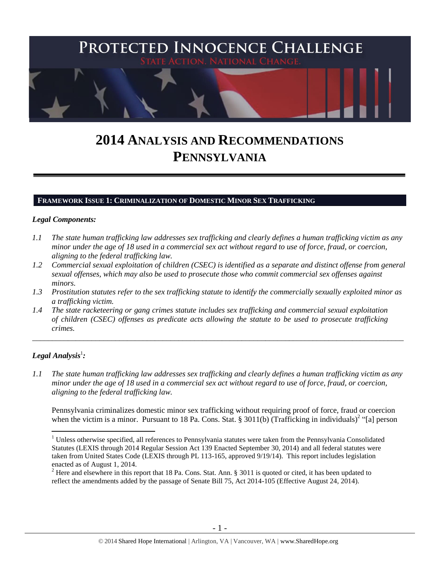

# **2014 ANALYSIS AND RECOMMENDATIONS PENNSYLVANIA**

#### **FRAMEWORK ISSUE 1: CRIMINALIZATION OF DOMESTIC MINOR SEX TRAFFICKING**

#### *Legal Components:*

- *1.1 The state human trafficking law addresses sex trafficking and clearly defines a human trafficking victim as any minor under the age of 18 used in a commercial sex act without regard to use of force, fraud, or coercion, aligning to the federal trafficking law.*
- *1.2 Commercial sexual exploitation of children (CSEC) is identified as a separate and distinct offense from general sexual offenses, which may also be used to prosecute those who commit commercial sex offenses against minors.*
- *1.3 Prostitution statutes refer to the sex trafficking statute to identify the commercially sexually exploited minor as a trafficking victim.*

\_\_\_\_\_\_\_\_\_\_\_\_\_\_\_\_\_\_\_\_\_\_\_\_\_\_\_\_\_\_\_\_\_\_\_\_\_\_\_\_\_\_\_\_\_\_\_\_\_\_\_\_\_\_\_\_\_\_\_\_\_\_\_\_\_\_\_\_\_\_\_\_\_\_\_\_\_\_\_\_\_\_\_\_\_\_\_\_\_\_\_\_\_\_

*1.4 The state racketeering or gang crimes statute includes sex trafficking and commercial sexual exploitation of children (CSEC) offenses as predicate acts allowing the statute to be used to prosecute trafficking crimes.* 

# $\bm{L}$ egal Analysis $^1$ :

<span id="page-0-1"></span><span id="page-0-0"></span> $\overline{a}$ 

*1.1 The state human trafficking law addresses sex trafficking and clearly defines a human trafficking victim as any minor under the age of 18 used in a commercial sex act without regard to use of force, fraud, or coercion, aligning to the federal trafficking law.*

Pennsylvania criminalizes domestic minor sex trafficking without requiring proof of force, fraud or coercion when the victim is a minor. Pursuant to 18 Pa. Cons. Stat. § 3011(b) (Trafficking in individuals)<sup>2</sup> "[a] person

 $1$  Unless otherwise specified, all references to Pennsylvania statutes were taken from the Pennsylvania Consolidated Statutes (LEXIS through 2014 Regular Session Act 139 Enacted September 30, 2014) and all federal statutes were taken from United States Code (LEXIS through PL 113-165, approved 9/19/14). This report includes legislation enacted as of August 1, 2014.

 $2$  Here and elsewhere in this report that 18 Pa. Cons. Stat. Ann. § 3011 is quoted or cited, it has been updated to reflect the amendments added by the passage of Senate Bill 75, Act 2014-105 (Effective August 24, 2014).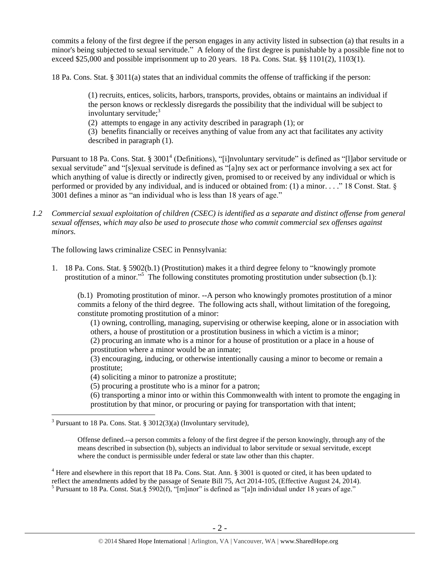commits a felony of the first degree if the person engages in any activity listed in subsection (a) that results in a minor's being subjected to sexual servitude." A felony of the first degree is punishable by a possible fine not to exceed \$25,000 and possible imprisonment up to 20 years. 18 Pa. Cons. Stat. §§ 1101(2), 1103(1).

18 Pa. Cons. Stat. § 3011(a) states that an individual commits the offense of trafficking if the person:

(1) recruits, entices, solicits, harbors, transports, provides, obtains or maintains an individual if the person knows or recklessly disregards the possibility that the individual will be subject to involuntary servitude; $3$ 

(2) attempts to engage in any activity described in paragraph (1); or

<span id="page-1-0"></span>(3) benefits financially or receives anything of value from any act that facilitates any activity described in paragraph (1).

Pursuant to 18 Pa. Cons. Stat. § 3001<sup>4</sup> (Definitions), "[i]nvoluntary servitude" is defined as "[l]abor servitude or sexual servitude" and "[s]exual servitude is defined as "[a]ny sex act or performance involving a sex act for which anything of value is directly or indirectly given, promised to or received by any individual or which is performed or provided by any individual, and is induced or obtained from: (1) a minor. . . ." 18 Const. Stat. § 3001 defines a minor as "an individual who is less than 18 years of age."

*1.2 Commercial sexual exploitation of children (CSEC) is identified as a separate and distinct offense from general sexual offenses, which may also be used to prosecute those who commit commercial sex offenses against minors.*

The following laws criminalize CSEC in Pennsylvania:

1. 18 Pa. Cons. Stat. § 5902(b.1) (Prostitution) makes it a third degree felony to "knowingly promote prostitution of a minor."<sup>5</sup> The following constitutes promoting prostitution under subsection (b.1):

(b.1) Promoting prostitution of minor. --A person who knowingly promotes prostitution of a minor commits a felony of the third degree. The following acts shall, without limitation of the foregoing, constitute promoting prostitution of a minor:

(1) owning, controlling, managing, supervising or otherwise keeping, alone or in association with others, a house of prostitution or a prostitution business in which a victim is a minor;

(2) procuring an inmate who is a minor for a house of prostitution or a place in a house of prostitution where a minor would be an inmate;

(3) encouraging, inducing, or otherwise intentionally causing a minor to become or remain a prostitute;

(4) soliciting a minor to patronize a prostitute;

(5) procuring a prostitute who is a minor for a patron;

(6) transporting a minor into or within this Commonwealth with intent to promote the engaging in prostitution by that minor, or procuring or paying for transportation with that intent;

 $\overline{a}$ 

Offense defined.--a person commits a felony of the first degree if the person knowingly, through any of the means described in subsection (b), subjects an individual to labor servitude or sexual servitude, except where the conduct is permissible under federal or state law other than this chapter.

<sup>4</sup> Here and elsewhere in this report that 18 Pa. Cons. Stat. Ann. § 3001 is quoted or cited, it has been updated to reflect the amendments added by the passage of Senate Bill 75, Act 2014-105, (Effective August 24, 2014). <sup>5</sup> Pursuant to 18 Pa. Const. Stat.§ 5902(f), "[m]inor" is defined as "[a]n individual under 18 years of age."

<sup>&</sup>lt;sup>3</sup> Pursuant to 18 Pa. Cons. Stat. § 3012(3)(a) (Involuntary servitude),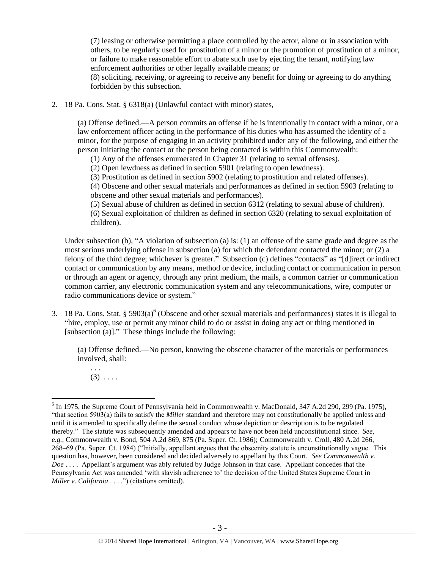(7) leasing or otherwise permitting a place controlled by the actor, alone or in association with others, to be regularly used for prostitution of a minor or the promotion of prostitution of a minor, or failure to make reasonable effort to abate such use by ejecting the tenant, notifying law enforcement authorities or other legally available means; or (8) soliciting, receiving, or agreeing to receive any benefit for doing or agreeing to do anything forbidden by this subsection.

2. 18 Pa. Cons. Stat. § 6318(a) (Unlawful contact with minor) states,

(a) Offense defined.—A person commits an offense if he is intentionally in contact with a minor, or a law enforcement officer acting in the performance of his duties who has assumed the identity of a minor, for the purpose of engaging in an activity prohibited under any of the following, and either the person initiating the contact or the person being contacted is within this Commonwealth:

(1) Any of the offenses enumerated in Chapter 31 (relating to sexual offenses).

(2) Open lewdness as defined in section 5901 (relating to open lewdness).

(3) Prostitution as defined in section 5902 (relating to prostitution and related offenses).

(4) Obscene and other sexual materials and performances as defined in section 5903 (relating to obscene and other sexual materials and performances).

(5) Sexual abuse of children as defined in section 6312 (relating to sexual abuse of children). (6) Sexual exploitation of children as defined in section 6320 (relating to sexual exploitation of children).

Under subsection (b), "A violation of subsection (a) is: (1) an offense of the same grade and degree as the most serious underlying offense in subsection (a) for which the defendant contacted the minor; or (2) a felony of the third degree; whichever is greater." Subsection (c) defines "contacts" as "[d]irect or indirect contact or communication by any means, method or device, including contact or communication in person or through an agent or agency, through any print medium, the mails, a common carrier or communication common carrier, any electronic communication system and any telecommunications, wire, computer or radio communications device or system."

3. 18 Pa. Cons. Stat.  $\S 5903(a)$ <sup>6</sup> (Obscene and other sexual materials and performances) states it is illegal to "hire, employ, use or permit any minor child to do or assist in doing any act or thing mentioned in [subsection (a)]." These things include the following:

(a) Offense defined.—No person, knowing the obscene character of the materials or performances involved, shall:

. . .  $(3) \ldots$ 

<sup>&</sup>lt;sup>6</sup> In 1975, the Supreme Court of Pennsylvania held in Commonwealth v. MacDonald, 347 A.2d 290, 299 (Pa. 1975), "that section 5903(a) fails to satisfy the *Miller* standard and therefore may not constitutionally be applied unless and until it is amended to specifically define the sexual conduct whose depiction or description is to be regulated thereby." The statute was subsequently amended and appears to have not been held unconstitutional since. *See, e.g.*, Commonwealth v. Bond, 504 A.2d 869, 875 (Pa. Super. Ct. 1986); Commonwealth v. Croll, 480 A.2d 266, 268–69 (Pa. Super. Ct. 1984) ("Initially, appellant argues that the obscenity statute is unconstitutionally vague. This question has, however, been considered and decided adversely to appellant by this Court. *See Commonwealth v. Doe* . . . . Appellant's argument was ably refuted by Judge Johnson in that case. Appellant concedes that the Pennsylvania Act was amended 'with slavish adherence to' the decision of the United States Supreme Court in *Miller v. California* . . . .") (citations omitted).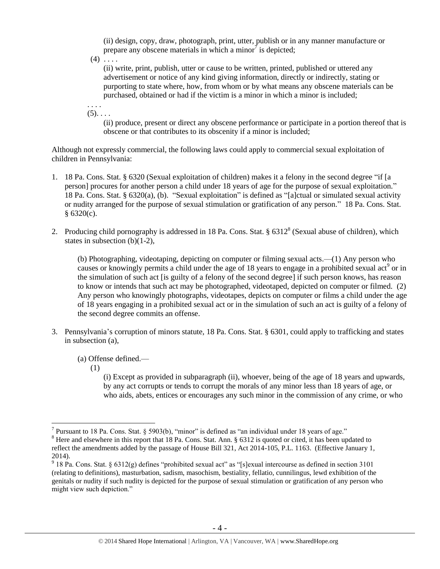(ii) design, copy, draw, photograph, print, utter, publish or in any manner manufacture or prepare any obscene materials in which a minor<sup> $\tau$ </sup> is depicted;

 $(4)$  ....

(ii) write, print, publish, utter or cause to be written, printed, published or uttered any advertisement or notice of any kind giving information, directly or indirectly, stating or purporting to state where, how, from whom or by what means any obscene materials can be purchased, obtained or had if the victim is a minor in which a minor is included;

. . . .  $(5)$ . . . .

> (ii) produce, present or direct any obscene performance or participate in a portion thereof that is obscene or that contributes to its obscenity if a minor is included;

Although not expressly commercial, the following laws could apply to commercial sexual exploitation of children in Pennsylvania:

- 1. 18 Pa. Cons. Stat. § 6320 (Sexual exploitation of children) makes it a felony in the second degree "if [a person] procures for another person a child under 18 years of age for the purpose of sexual exploitation." 18 Pa. Cons. Stat. § 6320(a), (b). "Sexual exploitation" is defined as "[a]ctual or simulated sexual activity or nudity arranged for the purpose of sexual stimulation or gratification of any person." 18 Pa. Cons. Stat.  $§ 6320(c).$
- 2. Producing child pornography is addressed in 18 Pa. Cons. Stat.  $\S 6312<sup>8</sup>$  (Sexual abuse of children), which states in subsection (b)(1-2),

<span id="page-3-0"></span>(b) Photographing, videotaping, depicting on computer or filming sexual acts.—(1) Any person who causes or knowingly permits a child under the age of 18 years to engage in a prohibited sexual act<sup>9</sup> or in the simulation of such act [is guilty of a felony of the second degree] if such person knows, has reason to know or intends that such act may be photographed, videotaped, depicted on computer or filmed. (2) Any person who knowingly photographs, videotapes, depicts on computer or films a child under the age of 18 years engaging in a prohibited sexual act or in the simulation of such an act is guilty of a felony of the second degree commits an offense.

- 3. Pennsylvania's corruption of minors statute, 18 Pa. Cons. Stat. § 6301, could apply to trafficking and states in subsection (a),
	- (a) Offense defined.—
		- (1)

 $\overline{a}$ 

(i) Except as provided in subparagraph (ii), whoever, being of the age of 18 years and upwards, by any act corrupts or tends to corrupt the morals of any minor less than 18 years of age, or who aids, abets, entices or encourages any such minor in the commission of any crime, or who

<sup>&</sup>lt;sup>7</sup> Pursuant to 18 Pa. Cons. Stat. § 5903(b), "minor" is defined as "an individual under 18 years of age."

<sup>&</sup>lt;sup>8</sup> Here and elsewhere in this report that 18 Pa. Cons. Stat. Ann. § 6312 is quoted or cited, it has been updated to reflect the amendments added by the passage of House Bill 321, Act 2014-105, P.L. 1163. (Effective January 1, 2014).

<sup>&</sup>lt;sup>9</sup> 18 Pa. Cons. Stat. § 6312(g) defines "prohibited sexual act" as "[s]exual intercourse as defined in section 3101 (relating to definitions), masturbation, sadism, masochism, bestiality, fellatio, cunnilingus, lewd exhibition of the genitals or nudity if such nudity is depicted for the purpose of sexual stimulation or gratification of any person who might view such depiction."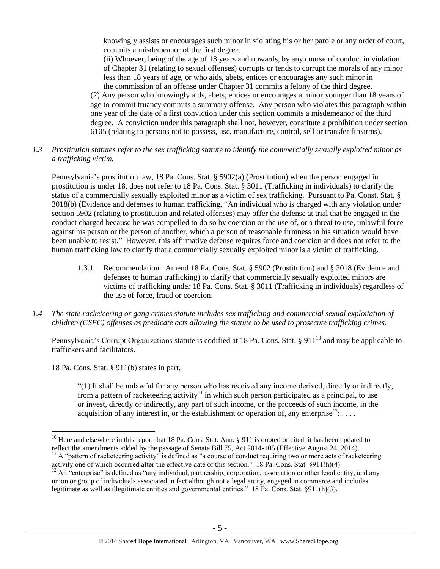knowingly assists or encourages such minor in violating his or her parole or any order of court, commits a misdemeanor of the first degree.

(ii) Whoever, being of the age of 18 years and upwards, by any course of conduct in violation of Chapter 31 (relating to sexual offenses) corrupts or tends to corrupt the morals of any minor less than 18 years of age, or who aids, abets, entices or encourages any such minor in the commission of an offense under Chapter 31 commits a felony of the third degree.

(2) Any person who knowingly aids, abets, entices or encourages a minor younger than 18 years of age to commit truancy commits a summary offense. Any person who violates this paragraph within one year of the date of a first conviction under this section commits a misdemeanor of the third degree. A conviction under this paragraph shall not, however, constitute a prohibition under section 6105 (relating to persons not to possess, use, manufacture, control, sell or transfer firearms).

# *1.3 Prostitution statutes refer to the sex trafficking statute to identify the commercially sexually exploited minor as a trafficking victim.*

Pennsylvania's prostitution law, 18 Pa. Cons. Stat. § 5902(a) (Prostitution) when the person engaged in prostitution is under 18, does not refer to 18 Pa. Cons. Stat. § 3011 (Trafficking in individuals) to clarify the status of a commercially sexually exploited minor as a victim of sex trafficking. Pursuant to Pa. Const. Stat. § 3018(b) (Evidence and defenses to human trafficking, "An individual who is charged with any violation under section 5902 (relating to prostitution and related offenses) may offer the defense at trial that he engaged in the conduct charged because he was compelled to do so by coercion or the use of, or a threat to use, unlawful force against his person or the person of another, which a person of reasonable firmness in his situation would have been unable to resist." However, this affirmative defense requires force and coercion and does not refer to the human trafficking law to clarify that a commercially sexually exploited minor is a victim of trafficking.

- 1.3.1 Recommendation: Amend 18 Pa. Cons. Stat. § 5902 (Prostitution) and § 3018 (Evidence and defenses to human trafficking) to clarify that commercially sexually exploited minors are victims of trafficking under 18 Pa. Cons. Stat. § 3011 (Trafficking in individuals) regardless of the use of force, fraud or coercion.
- *1.4 The state racketeering or gang crimes statute includes sex trafficking and commercial sexual exploitation of children (CSEC) offenses as predicate acts allowing the statute to be used to prosecute trafficking crimes.*

Pennsylvania's Corrupt Organizations statute is codified at 18 Pa. Cons. Stat. § 911<sup>10</sup> and may be applicable to traffickers and facilitators.

18 Pa. Cons. Stat. § 911(b) states in part,

 $\overline{a}$ 

"(1) It shall be unlawful for any person who has received any income derived, directly or indirectly, from a pattern of racketeering activity<sup>11</sup> in which such person participated as a principal, to use or invest, directly or indirectly, any part of such income, or the proceeds of such income, in the acquisition of any interest in, or the establishment or operation of, any enterprise<sup>12</sup>: ...

 $11$  A "pattern of racketeering activity" is defined as "a course of conduct requiring two or more acts of racketeering activity one of which occurred after the effective date of this section." 18 Pa. Cons. Stat. §911(h)(4).

<sup>&</sup>lt;sup>10</sup> Here and elsewhere in this report that 18 Pa. Cons. Stat. Ann. § 911 is quoted or cited, it has been updated to reflect the amendments added by the passage of Senate Bill 75, Act 2014-105 (Effective August 24, 2014).

<sup>&</sup>lt;sup>12</sup> An "enterprise" is defined as "any individual, partnership, corporation, association or other legal entity, and any union or group of individuals associated in fact although not a legal entity, engaged in commerce and includes legitimate as well as illegitimate entities and governmental entities." 18 Pa. Cons. Stat. §911(h)(3).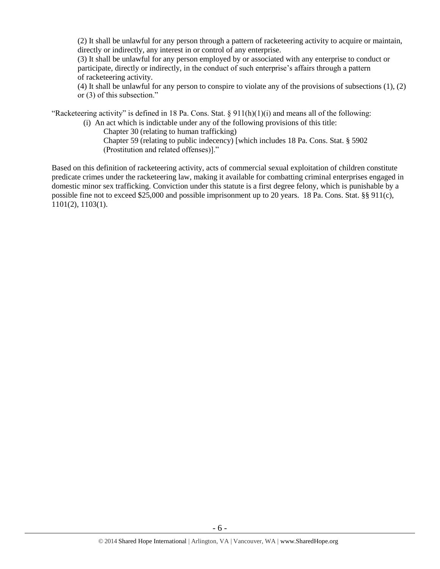(2) It shall be unlawful for any person through a pattern of racketeering activity to acquire or maintain, directly or indirectly, any interest in or control of any enterprise.

(3) It shall be unlawful for any person employed by or associated with any enterprise to conduct or participate, directly or indirectly, in the conduct of such enterprise's affairs through a pattern of racketeering activity.

(4) It shall be unlawful for any person to conspire to violate any of the provisions of subsections (1), (2) or (3) of this subsection."

"Racketeering activity" is defined in 18 Pa. Cons. Stat. § 911(h)(1)(i) and means all of the following:

(i) An act which is indictable under any of the following provisions of this title:

Chapter 30 (relating to human trafficking)

Chapter 59 (relating to public indecency) [which includes 18 Pa. Cons. Stat. § 5902 (Prostitution and related offenses)]."

Based on this definition of racketeering activity, acts of commercial sexual exploitation of children constitute predicate crimes under the racketeering law, making it available for combatting criminal enterprises engaged in domestic minor sex trafficking. Conviction under this statute is a first degree felony, which is punishable by a possible fine not to exceed \$25,000 and possible imprisonment up to 20 years. 18 Pa. Cons. Stat. §§ 911(c), 1101(2), 1103(1).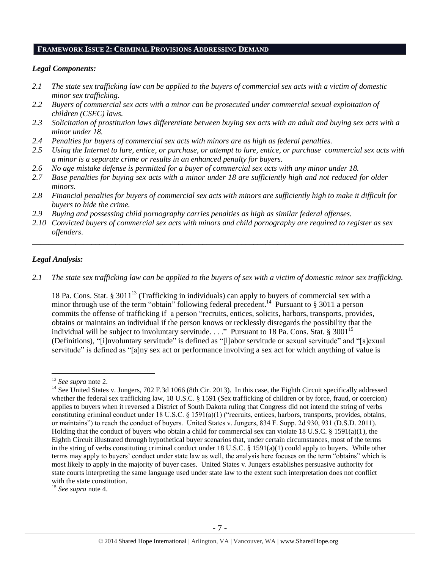#### **FRAMEWORK ISSUE 2: CRIMINAL PROVISIONS ADDRESSING DEMAND**

#### *Legal Components:*

- *2.1 The state sex trafficking law can be applied to the buyers of commercial sex acts with a victim of domestic minor sex trafficking.*
- *2.2 Buyers of commercial sex acts with a minor can be prosecuted under commercial sexual exploitation of children (CSEC) laws.*
- *2.3 Solicitation of prostitution laws differentiate between buying sex acts with an adult and buying sex acts with a minor under 18.*
- *2.4 Penalties for buyers of commercial sex acts with minors are as high as federal penalties.*
- *2.5 Using the Internet to lure, entice, or purchase, or attempt to lure, entice, or purchase commercial sex acts with a minor is a separate crime or results in an enhanced penalty for buyers.*
- *2.6 No age mistake defense is permitted for a buyer of commercial sex acts with any minor under 18.*
- *2.7 Base penalties for buying sex acts with a minor under 18 are sufficiently high and not reduced for older minors.*
- *2.8 Financial penalties for buyers of commercial sex acts with minors are sufficiently high to make it difficult for buyers to hide the crime.*
- *2.9 Buying and possessing child pornography carries penalties as high as similar federal offenses.*
- *2.10 Convicted buyers of commercial sex acts with minors and child pornography are required to register as sex offenders*.

#### *Legal Analysis:*

 $\overline{a}$ 

*2.1 The state sex trafficking law can be applied to the buyers of sex with a victim of domestic minor sex trafficking.*

\_\_\_\_\_\_\_\_\_\_\_\_\_\_\_\_\_\_\_\_\_\_\_\_\_\_\_\_\_\_\_\_\_\_\_\_\_\_\_\_\_\_\_\_\_\_\_\_\_\_\_\_\_\_\_\_\_\_\_\_\_\_\_\_\_\_\_\_\_\_\_\_\_\_\_\_\_\_\_\_\_\_\_\_\_\_\_\_\_\_\_\_\_\_

18 Pa. Cons. Stat. § 3011<sup>13</sup> (Trafficking in individuals) can apply to buyers of commercial sex with a minor through use of the term "obtain" following federal precedent.<sup>14</sup> Pursuant to § 3011 a person commits the offense of trafficking if a person "recruits, entices, solicits, harbors, transports, provides, obtains or maintains an individual if the person knows or recklessly disregards the possibility that the individual will be subject to involuntary servitude. . . ." Pursuant to 18 Pa. Cons. Stat. § 3001<sup>15</sup> (Definitions), "[i]nvoluntary servitude" is defined as "[l]abor servitude or sexual servitude" and "[s]exual servitude" is defined as "[a]ny sex act or performance involving a sex act for which anything of value is

<sup>13</sup> *See supra* note [2.](#page-0-0)

<sup>&</sup>lt;sup>14</sup> See United States v. Jungers, 702 F.3d 1066 (8th Cir. 2013). In this case, the Eighth Circuit specifically addressed whether the federal sex trafficking law, 18 U.S.C. § 1591 (Sex trafficking of children or by force, fraud, or coercion) applies to buyers when it reversed a District of South Dakota ruling that Congress did not intend the string of verbs constituting criminal conduct under 18 U.S.C. § 1591(a)(1) ("recruits, entices, harbors, transports, provides, obtains, or maintains") to reach the conduct of buyers. United States v. Jungers, 834 F. Supp. 2d 930, 931 (D.S.D. 2011). Holding that the conduct of buyers who obtain a child for commercial sex can violate 18 U.S.C. § 1591(a)(1), the Eighth Circuit illustrated through hypothetical buyer scenarios that, under certain circumstances, most of the terms in the string of verbs constituting criminal conduct under 18 U.S.C. § 1591(a)(1) could apply to buyers. While other terms may apply to buyers' conduct under state law as well, the analysis here focuses on the term "obtains" which is most likely to apply in the majority of buyer cases. United States v. Jungers establishes persuasive authority for state courts interpreting the same language used under state law to the extent such interpretation does not conflict with the state constitution.

<sup>15</sup> *See supra* note [4.](#page-1-0)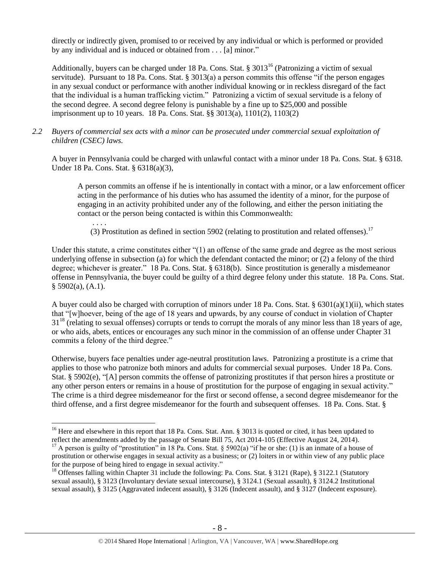directly or indirectly given, promised to or received by any individual or which is performed or provided by any individual and is induced or obtained from . . . [a] minor."

<span id="page-7-0"></span>Additionally, buyers can be charged under 18 Pa. Cons. Stat.  $\S 3013^{16}$  (Patronizing a victim of sexual servitude). Pursuant to 18 Pa. Cons. Stat. § 3013(a) a person commits this offense "if the person engages in any sexual conduct or performance with another individual knowing or in reckless disregard of the fact that the individual is a human trafficking victim." Patronizing a victim of sexual servitude is a felony of the second degree. A second degree felony is punishable by a fine up to \$25,000 and possible imprisonment up to 10 years. 18 Pa. Cons. Stat. §§ 3013(a), 1101(2), 1103(2)

## *2.2 Buyers of commercial sex acts with a minor can be prosecuted under commercial sexual exploitation of children (CSEC) laws.*

. . . .

 $\overline{a}$ 

A buyer in Pennsylvania could be charged with unlawful contact with a minor under 18 Pa. Cons. Stat. § 6318. Under 18 Pa. Cons. Stat. § 6318(a)(3),

A person commits an offense if he is intentionally in contact with a minor, or a law enforcement officer acting in the performance of his duties who has assumed the identity of a minor, for the purpose of engaging in an activity prohibited under any of the following, and either the person initiating the contact or the person being contacted is within this Commonwealth:

(3) Prostitution as defined in section 5902 (relating to prostitution and related offenses).<sup>17</sup>

Under this statute, a crime constitutes either "(1) an offense of the same grade and degree as the most serious underlying offense in subsection (a) for which the defendant contacted the minor; or (2) a felony of the third degree; whichever is greater." 18 Pa. Cons. Stat. § 6318(b). Since prostitution is generally a misdemeanor offense in Pennsylvania, the buyer could be guilty of a third degree felony under this statute. 18 Pa. Cons. Stat.  $§$  5902(a), (A.1).

A buyer could also be charged with corruption of minors under 18 Pa. Cons. Stat. § 6301(a)(1)(ii), which states that "[w]hoever, being of the age of 18 years and upwards, by any course of conduct in violation of Chapter  $31<sup>18</sup>$  (relating to sexual offenses) corrupts or tends to corrupt the morals of any minor less than 18 years of age, or who aids, abets, entices or encourages any such minor in the commission of an offense under Chapter 31 commits a felony of the third degree."

Otherwise, buyers face penalties under age-neutral prostitution laws. Patronizing a prostitute is a crime that applies to those who patronize both minors and adults for commercial sexual purposes. Under 18 Pa. Cons. Stat. § 5902(e), "[A] person commits the offense of patronizing prostitutes if that person hires a prostitute or any other person enters or remains in a house of prostitution for the purpose of engaging in sexual activity." The crime is a third degree misdemeanor for the first or second offense, a second degree misdemeanor for the third offense, and a first degree misdemeanor for the fourth and subsequent offenses. 18 Pa. Cons. Stat. §

<sup>&</sup>lt;sup>16</sup> Here and elsewhere in this report that 18 Pa. Cons. Stat. Ann. § 3013 is quoted or cited, it has been updated to reflect the amendments added by the passage of Senate Bill 75, Act 2014-105 (Effective August 24, 2014).

<sup>&</sup>lt;sup>17</sup> A person is guilty of "prostitution" in 18 Pa. Cons. Stat. § 5902(a) "if he or she: (1) is an inmate of a house of prostitution or otherwise engages in sexual activity as a business; or (2) loiters in or within view of any public place for the purpose of being hired to engage in sexual activity."

<sup>&</sup>lt;sup>18</sup> Offenses falling within Chapter 31 include the following: Pa. Cons. Stat. § 3121 (Rape), § 3122.1 (Statutory sexual assault), § 3123 (Involuntary deviate sexual intercourse), § 3124.1 (Sexual assault), § 3124.2 Institutional sexual assault), § 3125 (Aggravated indecent assault), § 3126 (Indecent assault), and § 3127 (Indecent exposure).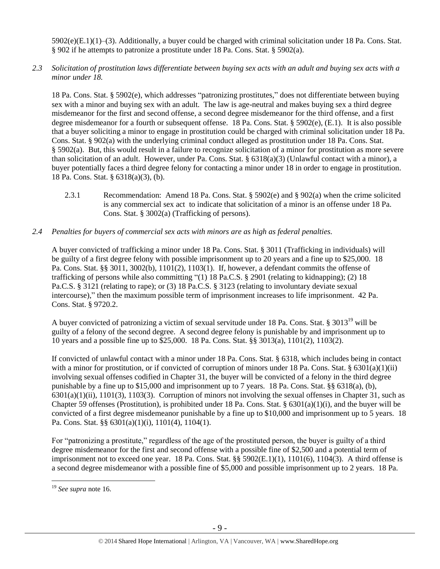5902(e)(E.1)(1)–(3). Additionally, a buyer could be charged with criminal solicitation under 18 Pa. Cons. Stat. § 902 if he attempts to patronize a prostitute under 18 Pa. Cons. Stat. § 5902(a).

*2.3 Solicitation of prostitution laws differentiate between buying sex acts with an adult and buying sex acts with a minor under 18.*

18 Pa. Cons. Stat. § 5902(e), which addresses "patronizing prostitutes," does not differentiate between buying sex with a minor and buying sex with an adult. The law is age-neutral and makes buying sex a third degree misdemeanor for the first and second offense, a second degree misdemeanor for the third offense, and a first degree misdemeanor for a fourth or subsequent offense. 18 Pa. Cons. Stat. § 5902(e), (E.1). It is also possible that a buyer soliciting a minor to engage in prostitution could be charged with criminal solicitation under 18 Pa. Cons. Stat. § 902(a) with the underlying criminal conduct alleged as prostitution under 18 Pa. Cons. Stat. § 5902(a). But, this would result in a failure to recognize solicitation of a minor for prostitution as more severe than solicitation of an adult. However, under Pa. Cons. Stat. § 6318(a)(3) (Unlawful contact with a minor), a buyer potentially faces a third degree felony for contacting a minor under 18 in order to engage in prostitution. 18 Pa. Cons. Stat. § 6318(a)(3), (b).

- 2.3.1 Recommendation: Amend 18 Pa. Cons. Stat. § 5902(e) and § 902(a) when the crime solicited is any commercial sex act to indicate that solicitation of a minor is an offense under 18 Pa. Cons. Stat. § 3002(a) (Trafficking of persons).
- *2.4 Penalties for buyers of commercial sex acts with minors are as high as federal penalties.*

A buyer convicted of trafficking a minor under 18 Pa. Cons. Stat. § 3011 (Trafficking in individuals) will be guilty of a first degree felony with possible imprisonment up to 20 years and a fine up to \$25,000. 18 Pa. Cons. Stat. §§ 3011, 3002(b), 1101(2), 1103(1). If, however, a defendant commits the offense of trafficking of persons while also committing "(1) 18 Pa.C.S. § 2901 (relating to kidnapping); (2) 18 Pa.C.S. § 3121 (relating to rape); or (3) 18 Pa.C.S. § 3123 (relating to involuntary deviate sexual intercourse)," then the maximum possible term of imprisonment increases to life imprisonment. 42 Pa. Cons. Stat. § 9720.2.

A buyer convicted of patronizing a victim of sexual servitude under 18 Pa. Cons. Stat. § 3013<sup>19</sup> will be guilty of a felony of the second degree. A second degree felony is punishable by and imprisonment up to 10 years and a possible fine up to \$25,000. 18 Pa. Cons. Stat. §§ 3013(a), 1101(2), 1103(2).

If convicted of unlawful contact with a minor under 18 Pa. Cons. Stat. § 6318, which includes being in contact with a minor for prostitution, or if convicted of corruption of minors under 18 Pa. Cons. Stat.  $\S 6301(a)(1)(ii)$ involving sexual offenses codified in Chapter 31, the buyer will be convicted of a felony in the third degree punishable by a fine up to \$15,000 and imprisonment up to 7 years. 18 Pa. Cons. Stat. §§ 6318(a), (b), 6301(a)(1)(ii), 1101(3), 1103(3). Corruption of minors not involving the sexual offenses in Chapter 31, such as Chapter 59 offenses (Prostitution), is prohibited under 18 Pa. Cons. Stat. § 6301(a)(1)(i), and the buyer will be convicted of a first degree misdemeanor punishable by a fine up to \$10,000 and imprisonment up to 5 years. 18 Pa. Cons. Stat. §§ 6301(a)(1)(i), 1101(4), 1104(1).

For "patronizing a prostitute," regardless of the age of the prostituted person, the buyer is guilty of a third degree misdemeanor for the first and second offense with a possible fine of \$2,500 and a potential term of imprisonment not to exceed one year. 18 Pa. Cons. Stat. §§ 5902(E.1)(1), 1101(6), 1104(3). A third offense is a second degree misdemeanor with a possible fine of \$5,000 and possible imprisonment up to 2 years. 18 Pa.

<sup>19</sup> *See supra* note [16.](#page-7-0)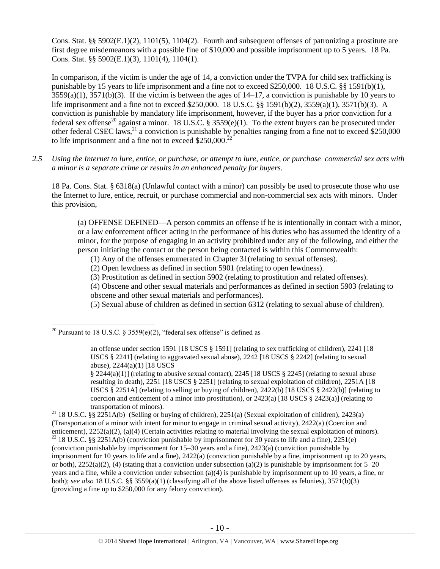Cons. Stat. §§ 5902(E.1)(2), 1101(5), 1104(2). Fourth and subsequent offenses of patronizing a prostitute are first degree misdemeanors with a possible fine of \$10,000 and possible imprisonment up to 5 years. 18 Pa. Cons. Stat. §§ 5902(E.1)(3), 1101(4), 1104(1).

<span id="page-9-0"></span>In comparison, if the victim is under the age of 14, a conviction under the TVPA for child sex trafficking is punishable by 15 years to life imprisonment and a fine not to exceed \$250,000. 18 U.S.C. §§ 1591(b)(1),  $3559(a)(1)$ ,  $3571(b)(3)$ . If the victim is between the ages of  $14-17$ , a conviction is punishable by 10 years to life imprisonment and a fine not to exceed \$250,000. 18 U.S.C. §§ 1591(b)(2), 3559(a)(1), 3571(b)(3). A conviction is punishable by mandatory life imprisonment, however, if the buyer has a prior conviction for a federal sex offense<sup>20</sup> against a minor. 18 U.S.C. § 3559(e)(1). To the extent buyers can be prosecuted under other federal CSEC laws,<sup>21</sup> a conviction is punishable by penalties ranging from a fine not to exceed \$250,000 to life imprisonment and a fine not to exceed  $$250,000.<sup>2</sup>$ 

*2.5 Using the Internet to lure, entice, or purchase, or attempt to lure, entice, or purchase commercial sex acts with a minor is a separate crime or results in an enhanced penalty for buyers.*

18 Pa. Cons. Stat. § 6318(a) (Unlawful contact with a minor) can possibly be used to prosecute those who use the Internet to lure, entice, recruit, or purchase commercial and non-commercial sex acts with minors. Under this provision,

(a) OFFENSE DEFINED—A person commits an offense if he is intentionally in contact with a minor, or a law enforcement officer acting in the performance of his duties who has assumed the identity of a minor, for the purpose of engaging in an activity prohibited under any of the following, and either the person initiating the contact or the person being contacted is within this Commonwealth:

- (1) Any of the offenses enumerated in Chapter 31(relating to sexual offenses).
- (2) Open lewdness as defined in section 5901 (relating to open lewdness).
- (3) Prostitution as defined in section 5902 (relating to prostitution and related offenses).
- (4) Obscene and other sexual materials and performances as defined in section 5903 (relating to
- obscene and other sexual materials and performances).

(5) Sexual abuse of children as defined in section 6312 (relating to sexual abuse of children).

<sup>20</sup> Pursuant to 18 U.S.C. § 3559(e)(2), "federal sex offense" is defined as

 $\overline{a}$ 

§ 2244(a)(1)] (relating to abusive sexual contact), 2245 [18 USCS § 2245] (relating to sexual abuse resulting in death), 2251 [18 USCS § 2251] (relating to sexual exploitation of children), 2251A [18 USCS  $\S 2251$ A] (relating to selling or buying of children), 2422(b) [18 USCS  $\S 2422$ (b)] (relating to coercion and enticement of a minor into prostitution), or  $2423(a)$  [18 USCS §  $2423(a)$ ] (relating to transportation of minors).

an offense under section 1591 [18 USCS § 1591] (relating to sex trafficking of children), 2241 [18 USCS § 2241] (relating to aggravated sexual abuse), 2242 [18 USCS § 2242] (relating to sexual abuse), 2244(a)(1) [18 USCS

<sup>&</sup>lt;sup>21</sup> 18 U.S.C. §§ 2251A(b) (Selling or buying of children), 2251(a) (Sexual exploitation of children), 2423(a) (Transportation of a minor with intent for minor to engage in criminal sexual activity), 2422(a) (Coercion and enticement), 2252(a)(2), (a)(4) (Certain activities relating to material involving the sexual exploitation of minors).

<sup>&</sup>lt;sup>22</sup> 18 U.S.C. §§ 2251A(b) (conviction punishable by imprisonment for 30 years to life and a fine), 2251(e) (conviction punishable by imprisonment for 15–30 years and a fine), 2423(a) (conviction punishable by imprisonment for 10 years to life and a fine), 2422(a) (conviction punishable by a fine, imprisonment up to 20 years, or both),  $2252(a)(2)$ , (4) (stating that a conviction under subsection (a)(2) is punishable by imprisonment for  $5-20$ years and a fine, while a conviction under subsection (a)(4) is punishable by imprisonment up to 10 years, a fine, or both); *see also* 18 U.S.C. §§ 3559(a)(1) (classifying all of the above listed offenses as felonies), 3571(b)(3) (providing a fine up to \$250,000 for any felony conviction).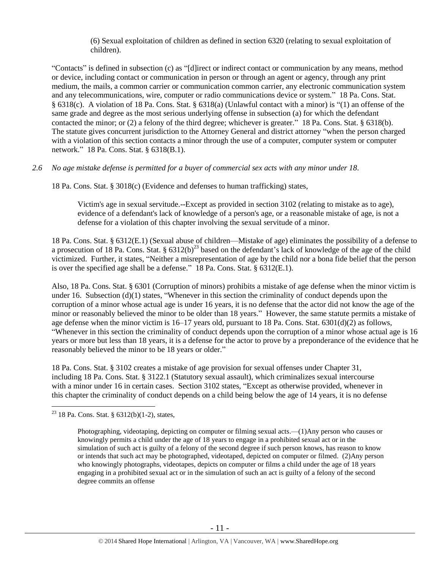(6) Sexual exploitation of children as defined in section 6320 (relating to sexual exploitation of children).

"Contacts" is defined in subsection (c) as "[d]irect or indirect contact or communication by any means, method or device, including contact or communication in person or through an agent or agency, through any print medium, the mails, a common carrier or communication common carrier, any electronic communication system and any telecommunications, wire, computer or radio communications device or system." 18 Pa. Cons. Stat. § 6318(c). A violation of 18 Pa. Cons. Stat. § 6318(a) (Unlawful contact with a minor) is "(1) an offense of the same grade and degree as the most serious underlying offense in subsection (a) for which the defendant contacted the minor; or (2) a felony of the third degree; whichever is greater." 18 Pa. Cons. Stat. § 6318(b). The statute gives concurrent jurisdiction to the Attorney General and district attorney "when the person charged with a violation of this section contacts a minor through the use of a computer, computer system or computer network." 18 Pa. Cons. Stat. § 6318(B.1).

*2.6 No age mistake defense is permitted for a buyer of commercial sex acts with any minor under 18.*

18 Pa. Cons. Stat. § 3018(c) (Evidence and defenses to human trafficking) states,

Victim's age in sexual servitude.--Except as provided in section 3102 (relating to mistake as to age), evidence of a defendant's lack of knowledge of a person's age, or a reasonable mistake of age, is not a defense for a violation of this chapter involving the sexual servitude of a minor.

18 Pa. Cons. Stat. § 6312(E.1) (Sexual abuse of children—Mistake of age) eliminates the possibility of a defense to a prosecution of 18 Pa. Cons. Stat. §  $6312(b)^{23}$  based on the defendant's lack of knowledge of the age of the child victimized. Further, it states, "Neither a misrepresentation of age by the child nor a bona fide belief that the person is over the specified age shall be a defense." 18 Pa. Cons. Stat. § 6312(E.1).

Also, 18 Pa. Cons. Stat. § 6301 (Corruption of minors) prohibits a mistake of age defense when the minor victim is under 16. Subsection (d)(1) states, "Whenever in this section the criminality of conduct depends upon the corruption of a minor whose actual age is under 16 years, it is no defense that the actor did not know the age of the minor or reasonably believed the minor to be older than 18 years." However, the same statute permits a mistake of age defense when the minor victim is 16–17 years old, pursuant to 18 Pa. Cons. Stat. 6301(d)(2) as follows, "Whenever in this section the criminality of conduct depends upon the corruption of a minor whose actual age is 16 years or more but less than 18 years, it is a defense for the actor to prove by a preponderance of the evidence that he reasonably believed the minor to be 18 years or older."

18 Pa. Cons. Stat. § 3102 creates a mistake of age provision for sexual offenses under Chapter 31, including 18 Pa. Cons. Stat. § 3122.1 (Statutory sexual assault), which criminalizes sexual intercourse with a minor under 16 in certain cases. Section 3102 states, "Except as otherwise provided, whenever in this chapter the criminality of conduct depends on a child being below the age of 14 years, it is no defense

 $23$  18 Pa. Cons. Stat. § 6312(b)(1-2), states,

Photographing, videotaping, depicting on computer or filming sexual acts.—(1)Any person who causes or knowingly permits a child under the age of 18 years to engage in a prohibited sexual act or in the simulation of such act is guilty of a felony of the second degree if such person knows, has reason to know or intends that such act may be photographed, videotaped, depicted on computer or filmed. (2)Any person who knowingly photographs, videotapes, depicts on computer or films a child under the age of 18 years engaging in a prohibited sexual act or in the simulation of such an act is guilty of a felony of the second degree commits an offense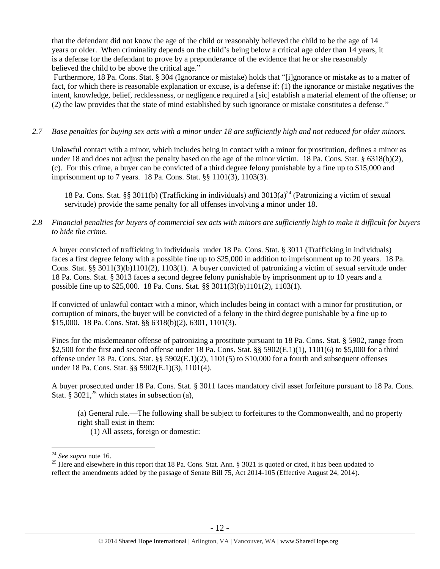that the defendant did not know the age of the child or reasonably believed the child to be the age of 14 years or older. When criminality depends on the child's being below a critical age older than 14 years, it is a defense for the defendant to prove by a preponderance of the evidence that he or she reasonably believed the child to be above the critical age."

Furthermore, 18 Pa. Cons. Stat. § 304 (Ignorance or mistake) holds that "[i]gnorance or mistake as to a matter of fact, for which there is reasonable explanation or excuse, is a defense if: (1) the ignorance or mistake negatives the intent, knowledge, belief, recklessness, or negligence required a [sic] establish a material element of the offense; or (2) the law provides that the state of mind established by such ignorance or mistake constitutes a defense."

## *2.7 Base penalties for buying sex acts with a minor under 18 are sufficiently high and not reduced for older minors.*

Unlawful contact with a minor, which includes being in contact with a minor for prostitution, defines a minor as under 18 and does not adjust the penalty based on the age of the minor victim. 18 Pa. Cons. Stat. § 6318(b)(2), (c). For this crime, a buyer can be convicted of a third degree felony punishable by a fine up to \$15,000 and imprisonment up to 7 years. 18 Pa. Cons. Stat. §§ 1101(3), 1103(3).

18 Pa. Cons. Stat. §§ 3011(b) (Trafficking in individuals) and  $3013(a)^{24}$  (Patronizing a victim of sexual servitude) provide the same penalty for all offenses involving a minor under 18.

# *2.8 Financial penalties for buyers of commercial sex acts with minors are sufficiently high to make it difficult for buyers to hide the crime.*

A buyer convicted of trafficking in individuals under 18 Pa. Cons. Stat. § 3011 (Trafficking in individuals) faces a first degree felony with a possible fine up to \$25,000 in addition to imprisonment up to 20 years. 18 Pa. Cons. Stat. §§ 3011(3)(b)1101(2), 1103(1). A buyer convicted of patronizing a victim of sexual servitude under 18 Pa. Cons. Stat. § 3013 faces a second degree felony punishable by imprisonment up to 10 years and a possible fine up to \$25,000. 18 Pa. Cons. Stat. §§ 3011(3)(b)1101(2), 1103(1).

If convicted of unlawful contact with a minor, which includes being in contact with a minor for prostitution, or corruption of minors, the buyer will be convicted of a felony in the third degree punishable by a fine up to \$15,000. 18 Pa. Cons. Stat. §§ 6318(b)(2), 6301, 1101(3).

Fines for the misdemeanor offense of patronizing a prostitute pursuant to 18 Pa. Cons. Stat. § 5902, range from \$2,500 for the first and second offense under 18 Pa. Cons. Stat. §§ 5902(E.1)(1), 1101(6) to \$5,000 for a third offense under 18 Pa. Cons. Stat. §§ 5902(E.1)(2), 1101(5) to \$10,000 for a fourth and subsequent offenses under 18 Pa. Cons. Stat. §§ 5902(E.1)(3), 1101(4).

A buyer prosecuted under 18 Pa. Cons. Stat. § 3011 faces mandatory civil asset forfeiture pursuant to 18 Pa. Cons. Stat. §  $3021<sup>25</sup>$  which states in subsection (a),

<span id="page-11-0"></span>(a) General rule.—The following shall be subject to forfeitures to the Commonwealth, and no property right shall exist in them:

(1) All assets, foreign or domestic:

<sup>24</sup> *See supra* note [16.](#page-7-0) 

<sup>&</sup>lt;sup>25</sup> Here and elsewhere in this report that 18 Pa. Cons. Stat. Ann. § 3021 is quoted or cited, it has been updated to reflect the amendments added by the passage of Senate Bill 75, Act 2014-105 (Effective August 24, 2014).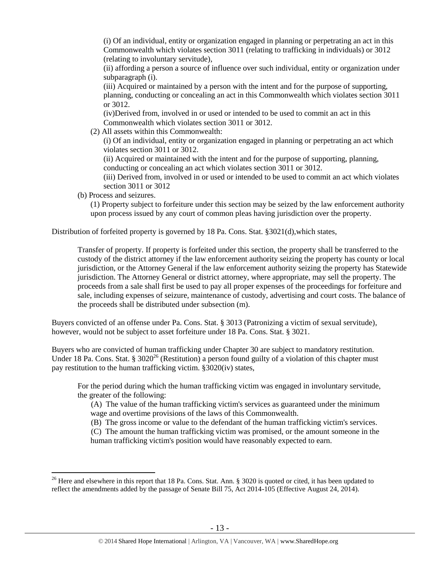(i) Of an individual, entity or organization engaged in planning or perpetrating an act in this Commonwealth which violates section 3011 (relating to trafficking in individuals) or 3012 (relating to involuntary servitude),

(ii) affording a person a source of influence over such individual, entity or organization under subparagraph (i).

(iii) Acquired or maintained by a person with the intent and for the purpose of supporting, planning, conducting or concealing an act in this Commonwealth which violates section 3011 or 3012.

(iv)Derived from, involved in or used or intended to be used to commit an act in this Commonwealth which violates section 3011 or 3012.

(2) All assets within this Commonwealth:

(i) Of an individual, entity or organization engaged in planning or perpetrating an act which violates section 3011 or 3012.

(ii) Acquired or maintained with the intent and for the purpose of supporting, planning, conducting or concealing an act which violates section 3011 or 3012.

(iii) Derived from, involved in or used or intended to be used to commit an act which violates section 3011 or 3012

(b) Process and seizures.

 $\overline{a}$ 

(1) Property subject to forfeiture under this section may be seized by the law enforcement authority upon process issued by any court of common pleas having jurisdiction over the property.

Distribution of forfeited property is governed by 18 Pa. Cons. Stat. §3021(d),which states,

Transfer of property. If property is forfeited under this section, the property shall be transferred to the custody of the district attorney if the law enforcement authority seizing the property has county or local jurisdiction, or the Attorney General if the law enforcement authority seizing the property has Statewide jurisdiction. The Attorney General or district attorney, where appropriate, may sell the property. The proceeds from a sale shall first be used to pay all proper expenses of the proceedings for forfeiture and sale, including expenses of seizure, maintenance of custody, advertising and court costs. The balance of the proceeds shall be distributed under subsection (m).

Buyers convicted of an offense under Pa. Cons. Stat. § 3013 (Patronizing a victim of sexual servitude), however, would not be subject to asset forfeiture under 18 Pa. Cons. Stat. § 3021.

Buyers who are convicted of human trafficking under Chapter 30 are subject to mandatory restitution. Under 18 Pa. Cons. Stat. § 3020<sup>26</sup> (Restitution) a person found guilty of a violation of this chapter must pay restitution to the human trafficking victim. §3020(iv) states,

For the period during which the human trafficking victim was engaged in involuntary servitude, the greater of the following:

<span id="page-12-0"></span>(A) The value of the human trafficking victim's services as guaranteed under the minimum wage and overtime provisions of the laws of this Commonwealth.

(B) The gross income or value to the defendant of the human trafficking victim's services.

(C) The amount the human trafficking victim was promised, or the amount someone in the human trafficking victim's position would have reasonably expected to earn.

<sup>&</sup>lt;sup>26</sup> Here and elsewhere in this report that 18 Pa. Cons. Stat. Ann. § 3020 is quoted or cited, it has been updated to reflect the amendments added by the passage of Senate Bill 75, Act 2014-105 (Effective August 24, 2014).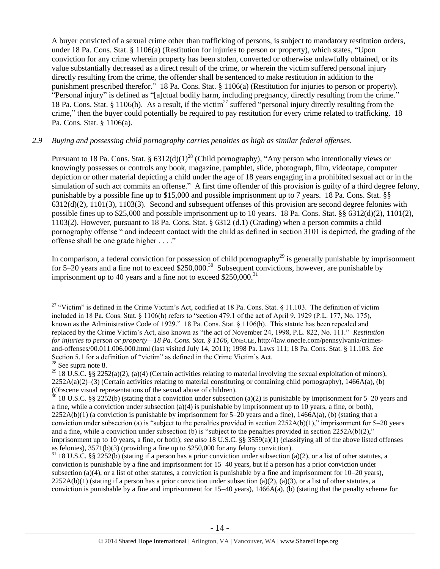A buyer convicted of a sexual crime other than trafficking of persons, is subject to mandatory restitution orders, under 18 Pa. Cons. Stat. § 1106(a) (Restitution for injuries to person or property), which states, "Upon conviction for any crime wherein property has been stolen, converted or otherwise unlawfully obtained, or its value substantially decreased as a direct result of the crime, or wherein the victim suffered personal injury directly resulting from the crime, the offender shall be sentenced to make restitution in addition to the punishment prescribed therefor." 18 Pa. Cons. Stat. § 1106(a) (Restitution for injuries to person or property). "Personal injury" is defined as "[a]ctual bodily harm, including pregnancy, directly resulting from the crime." 18 Pa. Cons. Stat. § 1106(h). As a result, if the victim<sup>27</sup> suffered "personal injury directly resulting from the crime," then the buyer could potentially be required to pay restitution for every crime related to trafficking. 18 Pa. Cons. Stat. § 1106(a).

#### *2.9 Buying and possessing child pornography carries penalties as high as similar federal offenses.*

Pursuant to 18 Pa. Cons. Stat. §  $6312(d)(1)^{28}$  (Child pornography), "Any person who intentionally views or knowingly possesses or controls any book, magazine, pamphlet, slide, photograph, film, videotape, computer depiction or other material depicting a child under the age of 18 years engaging in a prohibited sexual act or in the simulation of such act commits an offense." A first time offender of this provision is guilty of a third degree felony, punishable by a possible fine up to \$15,000 and possible imprisonment up to 7 years. 18 Pa. Cons. Stat. §§ 6312(d)(2), 1101(3), 1103(3). Second and subsequent offenses of this provision are second degree felonies with possible fines up to \$25,000 and possible imprisonment up to 10 years. 18 Pa. Cons. Stat. §§ 6312(d)(2), 1101(2), 1103(2). However, pursuant to 18 Pa. Cons. Stat. § 6312 (d.1) (Grading) when a person commits a child pornography offense " and indecent contact with the child as defined in section 3101 is depicted, the grading of the offense shall be one grade higher . . . ."

In comparison, a federal conviction for possession of child pornography<sup>29</sup> is generally punishable by imprisonment for 5–20 years and a fine not to exceed  $$250,000.<sup>30</sup>$  Subsequent convictions, however, are punishable by imprisonment up to 40 years and a fine not to exceed  $$250,000$ .<sup>31</sup>

 $\overline{a}$ <sup>27</sup> "Victim" is defined in the Crime Victim's Act, codified at 18 Pa. Cons. Stat. § 11.103. The definition of victim included in 18 Pa. Cons. Stat. § 1106(h) refers to "section 479.1 of the act of April 9, 1929 (P.L. 177, No. 175), known as the Administrative Code of 1929." 18 Pa. Cons. Stat. § 1106(h). This statute has been repealed and replaced by the Crime Victim's Act, also known as "the act of November 24, 1998, P.L. 822, No. 111." *Restitution for injuries to person or property—18 Pa. Cons. Stat. § 1106*, ONECLE, http://law.onecle.com/pennsylvania/crimesand-offenses/00.011.006.000.html (last visited July 14, 2011); 1998 Pa. Laws 111; 18 Pa. Cons. Stat. § 11.103. *See* Section 5.1 for a definition of "victim" as defined in the Crime Victim's Act.

<sup>28</sup> See supra note [8.](#page-3-0)

<sup>&</sup>lt;sup>29</sup> 18 U.S.C. §§ 2252(a)(2), (a)(4) (Certain activities relating to material involving the sexual exploitation of minors),  $2252A(a)(2)$ –(3) (Certain activities relating to material constituting or containing child pornography), 1466A(a), (b) (Obscene visual representations of the sexual abuse of children).

 $30$  18 U.S.C. §§ 2252(b) (stating that a conviction under subsection (a)(2) is punishable by imprisonment for 5–20 years and a fine, while a conviction under subsection  $(a)(4)$  is punishable by imprisonment up to 10 years, a fine, or both),  $2252A(b)(1)$  (a conviction is punishable by imprisonment for  $5-20$  years and a fine),  $1466A(a)$ , (b) (stating that a conviction under subsection (a) is "subject to the penalties provided in section  $2252A(b)(1)$ ," imprisonment for  $5-20$  years and a fine, while a conviction under subsection (b) is "subject to the penalties provided in section  $2252A(b)(2)$ ," imprisonment up to 10 years, a fine, or both); *see also* 18 U.S.C. §§ 3559(a)(1) (classifying all of the above listed offenses as felonies),  $3571(b)(3)$  (providing a fine up to  $$250,000$  for any felony conviction).

 $31$  18 U.S.C. §§ 2252(b) (stating if a person has a prior conviction under subsection (a)(2), or a list of other statutes, a conviction is punishable by a fine and imprisonment for 15–40 years, but if a person has a prior conviction under subsection (a)(4), or a list of other statutes, a conviction is punishable by a fine and imprisonment for  $10-20$  years),  $2252A(b)(1)$  (stating if a person has a prior conviction under subsection (a)(2), (a)(3), or a list of other statutes, a conviction is punishable by a fine and imprisonment for  $15-40$  years),  $1466A(a)$ , (b) (stating that the penalty scheme for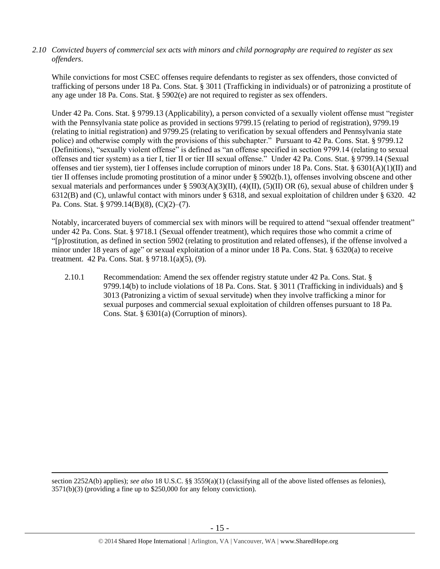# *2.10 Convicted buyers of commercial sex acts with minors and child pornography are required to register as sex offenders*.

While convictions for most CSEC offenses require defendants to register as sex offenders, those convicted of trafficking of persons under 18 Pa. Cons. Stat. § 3011 (Trafficking in individuals) or of patronizing a prostitute of any age under 18 Pa. Cons. Stat. § 5902(e) are not required to register as sex offenders.

Under 42 Pa. Cons. Stat. § 9799.13 (Applicability), a person convicted of a sexually violent offense must "register with the Pennsylvania state police as provided in sections 9799.15 (relating to period of registration), 9799.19 (relating to initial registration) and 9799.25 (relating to verification by sexual offenders and Pennsylvania state police) and otherwise comply with the provisions of this subchapter." Pursuant to 42 Pa. Cons. Stat. § 9799.12 (Definitions), "sexually violent offense" is defined as "an offense specified in section 9799.14 (relating to sexual offenses and tier system) as a tier I, tier II or tier III sexual offense." Under 42 Pa. Cons. Stat. § 9799.14 (Sexual offenses and tier system), tier I offenses include corruption of minors under 18 Pa. Cons. Stat. § 6301(A)(1)(II) and tier II offenses include promoting prostitution of a minor under § 5902(b.1), offenses involving obscene and other sexual materials and performances under § 5903(A)(3)(II), (4)(II), (5)(II) OR (6), sexual abuse of children under § 6312(B) and (C), unlawful contact with minors under § 6318, and sexual exploitation of children under § 6320. 42 Pa. Cons. Stat. § 9799.14(B)(8), (C)(2)–(7).

Notably, incarcerated buyers of commercial sex with minors will be required to attend "sexual offender treatment" under 42 Pa. Cons. Stat. § 9718.1 (Sexual offender treatment), which requires those who commit a crime of "[p]rostitution, as defined in section 5902 (relating to prostitution and related offenses), if the offense involved a minor under 18 years of age" or sexual exploitation of a minor under 18 Pa. Cons. Stat. § 6320(a) to receive treatment. 42 Pa. Cons. Stat. § 9718.1(a)(5), (9).

2.10.1 Recommendation: Amend the sex offender registry statute under 42 Pa. Cons. Stat. § 9799.14(b) to include violations of 18 Pa. Cons. Stat. § 3011 (Trafficking in individuals) and § 3013 (Patronizing a victim of sexual servitude) when they involve trafficking a minor for sexual purposes and commercial sexual exploitation of children offenses pursuant to 18 Pa. Cons. Stat. § 6301(a) (Corruption of minors).

section 2252A(b) applies); *see also* 18 U.S.C. §§ 3559(a)(1) (classifying all of the above listed offenses as felonies), 3571(b)(3) (providing a fine up to \$250,000 for any felony conviction).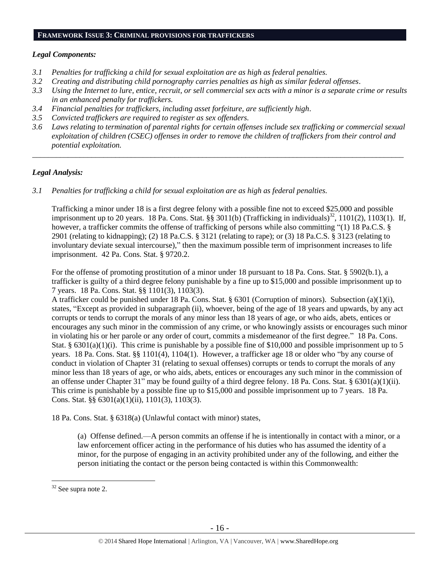#### **FRAMEWORK ISSUE 3: CRIMINAL PROVISIONS FOR TRAFFICKERS**

### *Legal Components:*

- *3.1 Penalties for trafficking a child for sexual exploitation are as high as federal penalties.*
- *3.2 Creating and distributing child pornography carries penalties as high as similar federal offenses*.
- *3.3 Using the Internet to lure, entice, recruit, or sell commercial sex acts with a minor is a separate crime or results in an enhanced penalty for traffickers.*
- *3.4 Financial penalties for traffickers, including asset forfeiture, are sufficiently high*.
- *3.5 Convicted traffickers are required to register as sex offenders.*
- *3.6 Laws relating to termination of parental rights for certain offenses include sex trafficking or commercial sexual exploitation of children (CSEC) offenses in order to remove the children of traffickers from their control and potential exploitation.*

*\_\_\_\_\_\_\_\_\_\_\_\_\_\_\_\_\_\_\_\_\_\_\_\_\_\_\_\_\_\_\_\_\_\_\_\_\_\_\_\_\_\_\_\_\_\_\_\_\_\_\_\_\_\_\_\_\_\_\_\_\_\_\_\_\_\_\_\_\_\_\_\_\_\_\_\_\_\_\_\_\_\_\_\_\_\_\_\_\_\_\_\_\_\_*

## *Legal Analysis:*

*3.1 Penalties for trafficking a child for sexual exploitation are as high as federal penalties.*

Trafficking a minor under 18 is a first degree felony with a possible fine not to exceed \$25,000 and possible imprisonment up to 20 years. 18 Pa. Cons. Stat.  $\S$ § 3011(b) (Trafficking in individuals)<sup>32</sup>, 1101(2), 1103(1). If, however, a trafficker commits the offense of trafficking of persons while also committing "(1) 18 Pa.C.S. § 2901 (relating to kidnapping); (2) 18 Pa.C.S. § 3121 (relating to rape); or (3) 18 Pa.C.S. § 3123 (relating to involuntary deviate sexual intercourse)," then the maximum possible term of imprisonment increases to life imprisonment. 42 Pa. Cons. Stat. § 9720.2.

For the offense of promoting prostitution of a minor under 18 pursuant to 18 Pa. Cons. Stat. § 5902(b.1), a trafficker is guilty of a third degree felony punishable by a fine up to \$15,000 and possible imprisonment up to 7 years. 18 Pa. Cons. Stat. §§ 1101(3), 1103(3).

A trafficker could be punished under 18 Pa. Cons. Stat. § 6301 (Corruption of minors). Subsection (a)(1)(i), states, "Except as provided in subparagraph (ii), whoever, being of the age of 18 years and upwards, by any act corrupts or tends to corrupt the morals of any minor less than 18 years of age, or who aids, abets, entices or encourages any such minor in the commission of any crime, or who knowingly assists or encourages such minor in violating his or her parole or any order of court, commits a misdemeanor of the first degree." 18 Pa. Cons. Stat. §  $6301(a)(1)(i)$ . This crime is punishable by a possible fine of \$10,000 and possible imprisonment up to 5 years. 18 Pa. Cons. Stat. §§ 1101(4), 1104(1). However, a trafficker age 18 or older who "by any course of conduct in violation of Chapter 31 (relating to sexual offenses) corrupts or tends to corrupt the morals of any minor less than 18 years of age, or who aids, abets, entices or encourages any such minor in the commission of an offense under Chapter 31" may be found guilty of a third degree felony. 18 Pa. Cons. Stat. §  $6301(a)(1)(ii)$ . This crime is punishable by a possible fine up to \$15,000 and possible imprisonment up to 7 years. 18 Pa. Cons. Stat. §§ 6301(a)(1)(ii), 1101(3), 1103(3).

18 Pa. Cons. Stat. § 6318(a) (Unlawful contact with minor) states,

(a) Offense defined.—A person commits an offense if he is intentionally in contact with a minor, or a law enforcement officer acting in the performance of his duties who has assumed the identity of a minor, for the purpose of engaging in an activity prohibited under any of the following, and either the person initiating the contact or the person being contacted is within this Commonwealth:

<sup>32</sup> See supra note [2.](#page-0-0)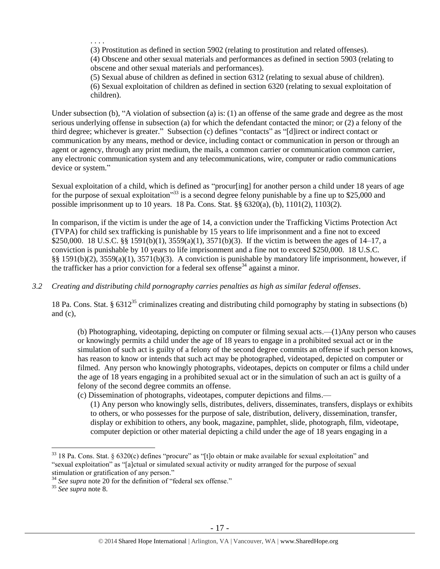. . . .

(3) Prostitution as defined in section 5902 (relating to prostitution and related offenses).

(4) Obscene and other sexual materials and performances as defined in section 5903 (relating to obscene and other sexual materials and performances).

(5) Sexual abuse of children as defined in section 6312 (relating to sexual abuse of children). (6) Sexual exploitation of children as defined in section 6320 (relating to sexual exploitation of children).

Under subsection (b), "A violation of subsection (a) is: (1) an offense of the same grade and degree as the most serious underlying offense in subsection (a) for which the defendant contacted the minor; or (2) a felony of the third degree; whichever is greater." Subsection (c) defines "contacts" as "[d]irect or indirect contact or communication by any means, method or device, including contact or communication in person or through an agent or agency, through any print medium, the mails, a common carrier or communication common carrier, any electronic communication system and any telecommunications, wire, computer or radio communications device or system."

Sexual exploitation of a child, which is defined as "procur[ing] for another person a child under 18 years of age for the purpose of sexual exploitation<sup>333</sup> is a second degree felony punishable by a fine up to \$25,000 and possible imprisonment up to 10 years. 18 Pa. Cons. Stat. §§ 6320(a), (b), 1101(2), 1103(2).

In comparison, if the victim is under the age of 14, a conviction under the Trafficking Victims Protection Act (TVPA) for child sex trafficking is punishable by 15 years to life imprisonment and a fine not to exceed \$250,000. 18 U.S.C. §§ 1591(b)(1), 3559(a)(1), 3571(b)(3). If the victim is between the ages of 14–17, a conviction is punishable by 10 years to life imprisonment and a fine not to exceed \$250,000. 18 U.S.C. §§ 1591(b)(2), 3559(a)(1), 3571(b)(3). A conviction is punishable by mandatory life imprisonment, however, if the trafficker has a prior conviction for a federal sex offense<sup>34</sup> against a minor.

# *3.2 Creating and distributing child pornography carries penalties as high as similar federal offenses*.

18 Pa. Cons. Stat. §  $6312^{35}$  criminalizes creating and distributing child pornography by stating in subsections (b) and  $(c)$ ,

(b) Photographing, videotaping, depicting on computer or filming sexual acts.—(1)Any person who causes or knowingly permits a child under the age of 18 years to engage in a prohibited sexual act or in the simulation of such act is guilty of a felony of the second degree commits an offense if such person knows, has reason to know or intends that such act may be photographed, videotaped, depicted on computer or filmed. Any person who knowingly photographs, videotapes, depicts on computer or films a child under the age of 18 years engaging in a prohibited sexual act or in the simulation of such an act is guilty of a felony of the second degree commits an offense.

(c) Dissemination of photographs, videotapes, computer depictions and films.—

(1) Any person who knowingly sells, distributes, delivers, disseminates, transfers, displays or exhibits to others, or who possesses for the purpose of sale, distribution, delivery, dissemination, transfer, display or exhibition to others, any book, magazine, pamphlet, slide, photograph, film, videotape, computer depiction or other material depicting a child under the age of 18 years engaging in a

 $33$  18 Pa. Cons. Stat. § 6320(c) defines "procure" as "[t]o obtain or make available for sexual exploitation" and "sexual exploitation" as "[a]ctual or simulated sexual activity or nudity arranged for the purpose of sexual stimulation or gratification of any person."

<sup>34</sup> *See supra* note [20](#page-9-0) for the definition of "federal sex offense."

<sup>35</sup> *See supra* note [8.](#page-3-0)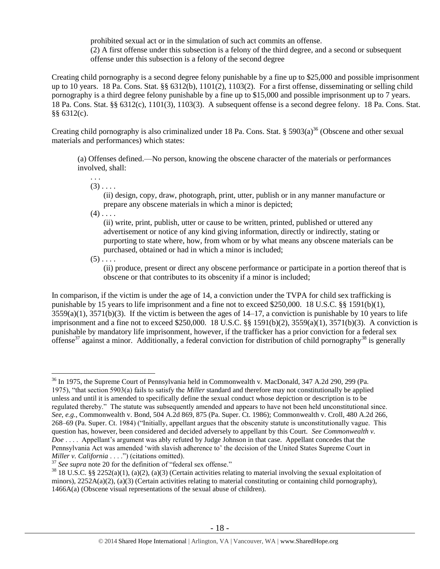prohibited sexual act or in the simulation of such act commits an offense. (2) A first offense under this subsection is a felony of the third degree, and a second or subsequent offense under this subsection is a felony of the second degree

Creating child pornography is a second degree felony punishable by a fine up to \$25,000 and possible imprisonment up to 10 years. 18 Pa. Cons. Stat. §§ 6312(b), 1101(2), 1103(2). For a first offense, disseminating or selling child pornography is a third degree felony punishable by a fine up to \$15,000 and possible imprisonment up to 7 years. 18 Pa. Cons. Stat. §§ 6312(c), 1101(3), 1103(3). A subsequent offense is a second degree felony. 18 Pa. Cons. Stat. §§ 6312(c).

Creating child pornography is also criminalized under 18 Pa. Cons. Stat. § 5903(a)<sup>36</sup> (Obscene and other sexual materials and performances) which states:

(a) Offenses defined.—No person, knowing the obscene character of the materials or performances involved, shall:

. . .  $(3)$ ....

> <span id="page-17-0"></span>(ii) design, copy, draw, photograph, print, utter, publish or in any manner manufacture or prepare any obscene materials in which a minor is depicted;

 $(4)$ ....

(ii) write, print, publish, utter or cause to be written, printed, published or uttered any advertisement or notice of any kind giving information, directly or indirectly, stating or purporting to state where, how, from whom or by what means any obscene materials can be purchased, obtained or had in which a minor is included;

 $(5)$ ....

 $\overline{a}$ 

(ii) produce, present or direct any obscene performance or participate in a portion thereof that is obscene or that contributes to its obscenity if a minor is included;

In comparison, if the victim is under the age of 14, a conviction under the TVPA for child sex trafficking is punishable by 15 years to life imprisonment and a fine not to exceed \$250,000. 18 U.S.C. §§ 1591(b)(1),  $3559(a)(1)$ ,  $3571(b)(3)$ . If the victim is between the ages of  $14-17$ , a conviction is punishable by 10 years to life imprisonment and a fine not to exceed \$250,000. 18 U.S.C. §§ 1591(b)(2), 3559(a)(1), 3571(b)(3). A conviction is punishable by mandatory life imprisonment, however, if the trafficker has a prior conviction for a federal sex offense<sup>37</sup> against a minor. Additionally, a federal conviction for distribution of child pornography<sup>38</sup> is generally

<sup>&</sup>lt;sup>36</sup> In 1975, the Supreme Court of Pennsylvania held in Commonwealth v. MacDonald, 347 A.2d 290, 299 (Pa. 1975), "that section 5903(a) fails to satisfy the *Miller* standard and therefore may not constitutionally be applied unless and until it is amended to specifically define the sexual conduct whose depiction or description is to be regulated thereby." The statute was subsequently amended and appears to have not been held unconstitutional since. *See, e.g.*, Commonwealth v. Bond, 504 A.2d 869, 875 (Pa. Super. Ct. 1986); Commonwealth v. Croll, 480 A.2d 266, 268–69 (Pa. Super. Ct. 1984) ("Initially, appellant argues that the obscenity statute is unconstitutionally vague. This question has, however, been considered and decided adversely to appellant by this Court. *See Commonwealth v. Doe* . . . . Appellant's argument was ably refuted by Judge Johnson in that case. Appellant concedes that the Pennsylvania Act was amended 'with slavish adherence to' the decision of the United States Supreme Court in *Miller v. California* . . . .") (citations omitted).

<sup>37</sup> *See supra* note [20](#page-9-0) for the definition of "federal sex offense."

 $38\,18\,$  U.S.C. §§ 2252(a)(1), (a)(2), (a)(3) (Certain activities relating to material involving the sexual exploitation of minors),  $2252A(a)(2)$ ,  $(a)(3)$  (Certain activities relating to material constituting or containing child pornography), 1466A(a) (Obscene visual representations of the sexual abuse of children).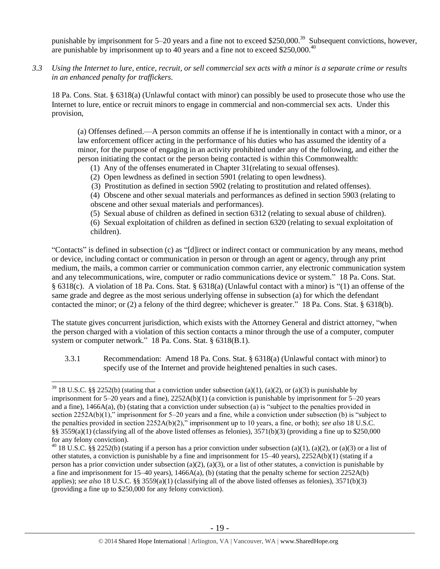punishable by imprisonment for  $5-20$  years and a fine not to exceed \$250,000.<sup>39</sup> Subsequent convictions, however, are punishable by imprisonment up to 40 years and a fine not to exceed \$250,000.<sup>40</sup>

*3.3 Using the Internet to lure, entice, recruit, or sell commercial sex acts with a minor is a separate crime or results in an enhanced penalty for traffickers.*

18 Pa. Cons. Stat. § 6318(a) (Unlawful contact with minor) can possibly be used to prosecute those who use the Internet to lure, entice or recruit minors to engage in commercial and non-commercial sex acts. Under this provision,

(a) Offenses defined.—A person commits an offense if he is intentionally in contact with a minor, or a law enforcement officer acting in the performance of his duties who has assumed the identity of a minor, for the purpose of engaging in an activity prohibited under any of the following, and either the person initiating the contact or the person being contacted is within this Commonwealth:

(1) Any of the offenses enumerated in Chapter 31(relating to sexual offenses).

(2) Open lewdness as defined in section 5901 (relating to open lewdness).

(3) Prostitution as defined in section 5902 (relating to prostitution and related offenses).

(4) Obscene and other sexual materials and performances as defined in section 5903 (relating to obscene and other sexual materials and performances).

(5) Sexual abuse of children as defined in section 6312 (relating to sexual abuse of children).

(6) Sexual exploitation of children as defined in section 6320 (relating to sexual exploitation of children).

"Contacts" is defined in subsection (c) as "[d]irect or indirect contact or communication by any means, method or device, including contact or communication in person or through an agent or agency, through any print medium, the mails, a common carrier or communication common carrier, any electronic communication system and any telecommunications, wire, computer or radio communications device or system." 18 Pa. Cons. Stat. § 6318(c). A violation of 18 Pa. Cons. Stat. § 6318(a) (Unlawful contact with a minor) is "(1) an offense of the same grade and degree as the most serious underlying offense in subsection (a) for which the defendant contacted the minor; or (2) a felony of the third degree; whichever is greater." 18 Pa. Cons. Stat. § 6318(b).

The statute gives concurrent jurisdiction, which exists with the Attorney General and district attorney, "when the person charged with a violation of this section contacts a minor through the use of a computer, computer system or computer network." 18 Pa. Cons. Stat. § 6318(B.1).

3.3.1 Recommendation: Amend 18 Pa. Cons. Stat. § 6318(a) (Unlawful contact with minor) to specify use of the Internet and provide heightened penalties in such cases.

 $\overline{a}$  $39$  18 U.S.C. §§ 2252(b) (stating that a conviction under subsection (a)(1), (a)(2), or (a)(3) is punishable by imprisonment for 5–20 years and a fine), 2252A(b)(1) (a conviction is punishable by imprisonment for 5–20 years and a fine), 1466A(a), (b) (stating that a conviction under subsection (a) is "subject to the penalties provided in section 2252A(b)(1)," imprisonment for 5–20 years and a fine, while a conviction under subsection (b) is "subject to the penalties provided in section 2252A(b)(2)," imprisonment up to 10 years, a fine, or both); *see also* 18 U.S.C. §§ 3559(a)(1) (classifying all of the above listed offenses as felonies),  $3571(b)(3)$  (providing a fine up to \$250,000 for any felony conviction).

<sup>&</sup>lt;sup>40</sup> 18 U.S.C. §§ 2252(b) (stating if a person has a prior conviction under subsection (a)(1), (a)(2), or (a)(3) or a list of other statutes, a conviction is punishable by a fine and imprisonment for  $15-40$  years),  $2252A(b)(1)$  (stating if a person has a prior conviction under subsection (a)(2), (a)(3), or a list of other statutes, a conviction is punishable by a fine and imprisonment for 15–40 years), 1466A(a), (b) (stating that the penalty scheme for section 2252A(b) applies); *see also* 18 U.S.C. §§ 3559(a)(1) (classifying all of the above listed offenses as felonies), 3571(b)(3) (providing a fine up to \$250,000 for any felony conviction).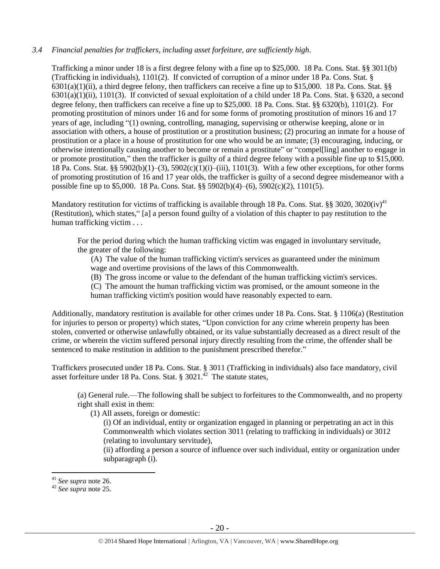# *3.4 Financial penalties for traffickers, including asset forfeiture, are sufficiently high*.

Trafficking a minor under 18 is a first degree felony with a fine up to \$25,000. 18 Pa. Cons. Stat. §§ 3011(b) (Trafficking in individuals), 1101(2). If convicted of corruption of a minor under 18 Pa. Cons. Stat. §  $6301(a)(1)(ii)$ , a third degree felony, then traffickers can receive a fine up to \$15,000. 18 Pa. Cons. Stat. §§  $6301(a)(1)(ii)$ ,  $1101(3)$ . If convicted of sexual exploitation of a child under 18 Pa. Cons. Stat. § 6320, a second degree felony, then traffickers can receive a fine up to \$25,000. 18 Pa. Cons. Stat. §§ 6320(b), 1101(2). For promoting prostitution of minors under 16 and for some forms of promoting prostitution of minors 16 and 17 years of age, including "(1) owning, controlling, managing, supervising or otherwise keeping, alone or in association with others, a house of prostitution or a prostitution business; (2) procuring an inmate for a house of prostitution or a place in a house of prostitution for one who would be an inmate; (3) encouraging, inducing, or otherwise intentionally causing another to become or remain a prostitute" or "compel[ling] another to engage in or promote prostitution," then the trafficker is guilty of a third degree felony with a possible fine up to \$15,000. 18 Pa. Cons. Stat. §§ 5902(b)(1)–(3), 5902(c)(1)(i)–(iii), 1101(3). With a few other exceptions, for other forms of promoting prostitution of 16 and 17 year olds, the trafficker is guilty of a second degree misdemeanor with a possible fine up to \$5,000. 18 Pa. Cons. Stat. §§ 5902(b)(4)–(6), 5902(c)(2), 1101(5).

Mandatory restitution for victims of trafficking is available through 18 Pa. Cons. Stat. §§ 3020, 3020(iv)<sup>41</sup> (Restitution), which states," [a] a person found guilty of a violation of this chapter to pay restitution to the human trafficking victim . . .

For the period during which the human trafficking victim was engaged in involuntary servitude, the greater of the following:

(A) The value of the human trafficking victim's services as guaranteed under the minimum wage and overtime provisions of the laws of this Commonwealth.

(B) The gross income or value to the defendant of the human trafficking victim's services.

(C) The amount the human trafficking victim was promised, or the amount someone in the

human trafficking victim's position would have reasonably expected to earn.

Additionally, mandatory restitution is available for other crimes under 18 Pa. Cons. Stat. § 1106(a) (Restitution for injuries to person or property) which states, "Upon conviction for any crime wherein property has been stolen, converted or otherwise unlawfully obtained, or its value substantially decreased as a direct result of the crime, or wherein the victim suffered personal injury directly resulting from the crime, the offender shall be sentenced to make restitution in addition to the punishment prescribed therefor."

Traffickers prosecuted under 18 Pa. Cons. Stat. § 3011 (Trafficking in individuals) also face mandatory, civil asset forfeiture under 18 Pa. Cons. Stat.  $\S 3021$ .<sup>42</sup> The statute states,

(a) General rule.—The following shall be subject to forfeitures to the Commonwealth, and no property right shall exist in them:

(1) All assets, foreign or domestic:

(i) Of an individual, entity or organization engaged in planning or perpetrating an act in this Commonwealth which violates section 3011 (relating to trafficking in individuals) or 3012 (relating to involuntary servitude),

(ii) affording a person a source of influence over such individual, entity or organization under subparagraph (i).

<sup>41</sup> *See supra* note [26.](#page-12-0) 

<sup>42</sup> *See supra* note [25.](#page-11-0)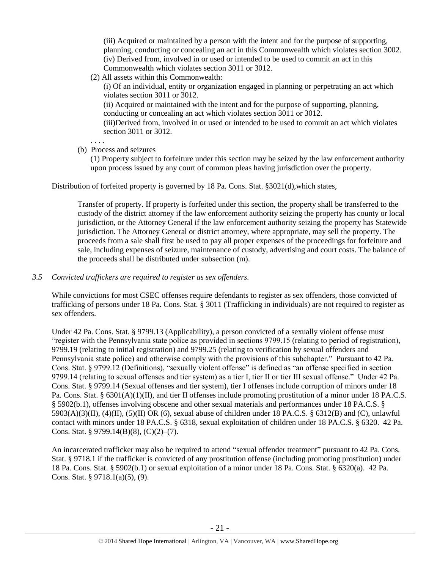(iii) Acquired or maintained by a person with the intent and for the purpose of supporting, planning, conducting or concealing an act in this Commonwealth which violates section 3002. (iv) Derived from, involved in or used or intended to be used to commit an act in this Commonwealth which violates section 3011 or 3012.

(2) All assets within this Commonwealth:

(i) Of an individual, entity or organization engaged in planning or perpetrating an act which violates section 3011 or 3012.

(ii) Acquired or maintained with the intent and for the purpose of supporting, planning, conducting or concealing an act which violates section 3011 or 3012.

(iii)Derived from, involved in or used or intended to be used to commit an act which violates section 3011 or 3012.

. . . . (b) Process and seizures

> (1) Property subject to forfeiture under this section may be seized by the law enforcement authority upon process issued by any court of common pleas having jurisdiction over the property.

Distribution of forfeited property is governed by 18 Pa. Cons. Stat. §3021(d),which states,

Transfer of property. If property is forfeited under this section, the property shall be transferred to the custody of the district attorney if the law enforcement authority seizing the property has county or local jurisdiction, or the Attorney General if the law enforcement authority seizing the property has Statewide jurisdiction. The Attorney General or district attorney, where appropriate, may sell the property. The proceeds from a sale shall first be used to pay all proper expenses of the proceedings for forfeiture and sale, including expenses of seizure, maintenance of custody, advertising and court costs. The balance of the proceeds shall be distributed under subsection (m).

*3.5 Convicted traffickers are required to register as sex offenders.*

While convictions for most CSEC offenses require defendants to register as sex offenders, those convicted of trafficking of persons under 18 Pa. Cons. Stat. § 3011 (Trafficking in individuals) are not required to register as sex offenders.

Under 42 Pa. Cons. Stat. § 9799.13 (Applicability), a person convicted of a sexually violent offense must "register with the Pennsylvania state police as provided in sections 9799.15 (relating to period of registration), 9799.19 (relating to initial registration) and 9799.25 (relating to verification by sexual offenders and Pennsylvania state police) and otherwise comply with the provisions of this subchapter." Pursuant to 42 Pa. Cons. Stat. § 9799.12 (Definitions), "sexually violent offense" is defined as "an offense specified in section 9799.14 (relating to sexual offenses and tier system) as a tier I, tier II or tier III sexual offense." Under 42 Pa. Cons. Stat. § 9799.14 (Sexual offenses and tier system), tier I offenses include corruption of minors under 18 Pa. Cons. Stat. § 6301(A)(1)(II), and tier II offenses include promoting prostitution of a minor under 18 PA.C.S. § 5902(b.1), offenses involving obscene and other sexual materials and performances under 18 PA.C.S. §  $5903(A)(3)(II)$ ,  $(4)(II)$ ,  $(5)(II)$  OR  $(6)$ , sexual abuse of children under 18 PA.C.S. § 6312(B) and (C), unlawful contact with minors under 18 PA.C.S. § 6318, sexual exploitation of children under 18 PA.C.S. § 6320. 42 Pa. Cons. Stat. § 9799.14(B)(8), (C)(2)–(7).

An incarcerated trafficker may also be required to attend "sexual offender treatment" pursuant to 42 Pa. Cons. Stat. § 9718.1 if the trafficker is convicted of any prostitution offense (including promoting prostitution) under 18 Pa. Cons. Stat. § 5902(b.1) or sexual exploitation of a minor under 18 Pa. Cons. Stat. § 6320(a). 42 Pa. Cons. Stat. § 9718.1(a)(5), (9).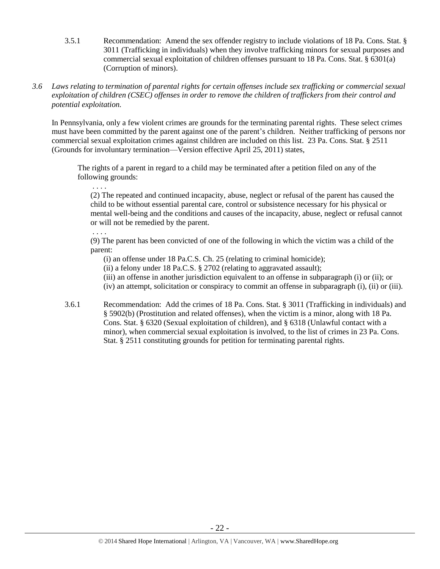- 3.5.1 Recommendation: Amend the sex offender registry to include violations of 18 Pa. Cons. Stat. § 3011 (Trafficking in individuals) when they involve trafficking minors for sexual purposes and commercial sexual exploitation of children offenses pursuant to 18 Pa. Cons. Stat. § 6301(a) (Corruption of minors).
- *3.6 Laws relating to termination of parental rights for certain offenses include sex trafficking or commercial sexual exploitation of children (CSEC) offenses in order to remove the children of traffickers from their control and potential exploitation.*

In Pennsylvania, only a few violent crimes are grounds for the terminating parental rights. These select crimes must have been committed by the parent against one of the parent's children. Neither trafficking of persons nor commercial sexual exploitation crimes against children are included on this list. 23 Pa. Cons. Stat. § 2511 (Grounds for involuntary termination—Version effective April 25, 2011) states,

The rights of a parent in regard to a child may be terminated after a petition filed on any of the following grounds:

(2) The repeated and continued incapacity, abuse, neglect or refusal of the parent has caused the child to be without essential parental care, control or subsistence necessary for his physical or mental well-being and the conditions and causes of the incapacity, abuse, neglect or refusal cannot or will not be remedied by the parent.

(9) The parent has been convicted of one of the following in which the victim was a child of the parent:

(i) an offense under 18 Pa.C.S. Ch. 25 (relating to criminal homicide);

. . . .

. . . .

(ii) a felony under 18 Pa.C.S. § 2702 (relating to aggravated assault);

(iii) an offense in another jurisdiction equivalent to an offense in subparagraph (i) or (ii); or

(iv) an attempt, solicitation or conspiracy to commit an offense in subparagraph (i), (ii) or (iii).

3.6.1 Recommendation: Add the crimes of 18 Pa. Cons. Stat. § 3011 (Trafficking in individuals) and § 5902(b) (Prostitution and related offenses), when the victim is a minor, along with 18 Pa. Cons. Stat. § 6320 (Sexual exploitation of children), and § 6318 (Unlawful contact with a minor), when commercial sexual exploitation is involved, to the list of crimes in 23 Pa. Cons. Stat. § 2511 constituting grounds for petition for terminating parental rights.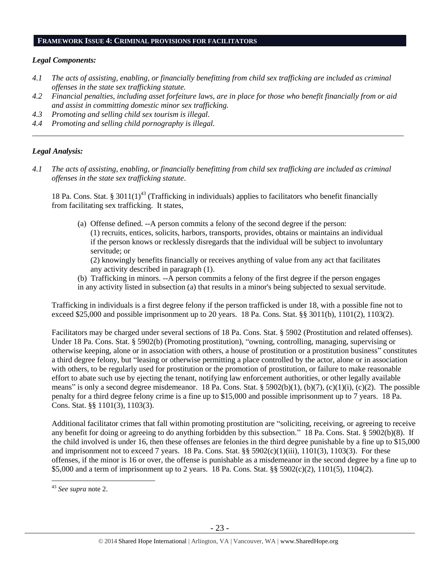#### **FRAMEWORK ISSUE 4: CRIMINAL PROVISIONS FOR FACILITATORS**

#### *Legal Components:*

- *4.1 The acts of assisting, enabling, or financially benefitting from child sex trafficking are included as criminal offenses in the state sex trafficking statute.*
- *4.2 Financial penalties, including asset forfeiture laws, are in place for those who benefit financially from or aid and assist in committing domestic minor sex trafficking.*

*\_\_\_\_\_\_\_\_\_\_\_\_\_\_\_\_\_\_\_\_\_\_\_\_\_\_\_\_\_\_\_\_\_\_\_\_\_\_\_\_\_\_\_\_\_\_\_\_\_\_\_\_\_\_\_\_\_\_\_\_\_\_\_\_\_\_\_\_\_\_\_\_\_\_\_\_\_\_\_\_\_\_\_\_\_\_\_\_\_\_\_\_\_\_*

- *4.3 Promoting and selling child sex tourism is illegal.*
- *4.4 Promoting and selling child pornography is illegal.*

#### *Legal Analysis:*

*4.1 The acts of assisting, enabling, or financially benefitting from child sex trafficking are included as criminal offenses in the state sex trafficking statute*.

18 Pa. Cons. Stat. § 3011(1)<sup>43</sup> (Trafficking in individuals) applies to facilitators who benefit financially from facilitating sex trafficking. It states,

(a) Offense defined. --A person commits a felony of the second degree if the person: (1) recruits, entices, solicits, harbors, transports, provides, obtains or maintains an individual if the person knows or recklessly disregards that the individual will be subject to involuntary servitude; or

(2) knowingly benefits financially or receives anything of value from any act that facilitates any activity described in paragraph (1).

(b) Trafficking in minors. --A person commits a felony of the first degree if the person engages in any activity listed in subsection (a) that results in a minor's being subjected to sexual servitude.

Trafficking in individuals is a first degree felony if the person trafficked is under 18, with a possible fine not to exceed \$25,000 and possible imprisonment up to 20 years. 18 Pa. Cons. Stat. §§ 3011(b), 1101(2), 1103(2).

Facilitators may be charged under several sections of 18 Pa. Cons. Stat. § 5902 (Prostitution and related offenses). Under 18 Pa. Cons. Stat. § 5902(b) (Promoting prostitution), "owning, controlling, managing, supervising or otherwise keeping, alone or in association with others, a house of prostitution or a prostitution business" constitutes a third degree felony, but "leasing or otherwise permitting a place controlled by the actor, alone or in association with others, to be regularly used for prostitution or the promotion of prostitution, or failure to make reasonable effort to abate such use by ejecting the tenant, notifying law enforcement authorities, or other legally available means" is only a second degree misdemeanor. 18 Pa. Cons. Stat. § 5902(b)(1), (b)(7), (c)(1)(i), (c)(2). The possible penalty for a third degree felony crime is a fine up to \$15,000 and possible imprisonment up to 7 years. 18 Pa. Cons. Stat. §§ 1101(3), 1103(3).

Additional facilitator crimes that fall within promoting prostitution are "soliciting, receiving, or agreeing to receive any benefit for doing or agreeing to do anything forbidden by this subsection." 18 Pa. Cons. Stat. § 5902(b)(8). If the child involved is under 16, then these offenses are felonies in the third degree punishable by a fine up to \$15,000 and imprisonment not to exceed 7 years. 18 Pa. Cons. Stat. §§ 5902(c)(1)(iii), 1101(3), 1103(3). For these offenses, if the minor is 16 or over, the offense is punishable as a misdemeanor in the second degree by a fine up to \$5,000 and a term of imprisonment up to 2 years. 18 Pa. Cons. Stat. §§ 5902(c)(2), 1101(5), 1104(2).

<sup>43</sup> *See supra* note [2.](#page-0-0)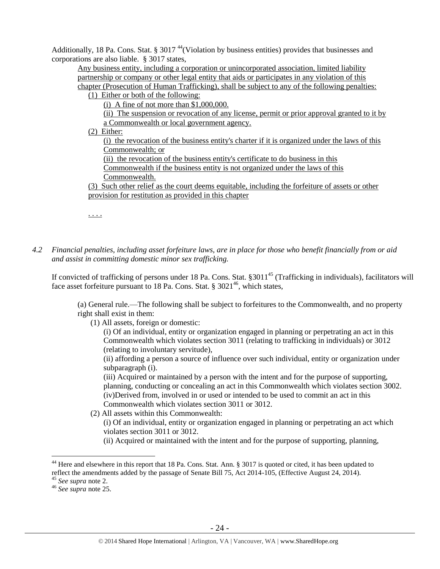Additionally, 18 Pa. Cons. Stat. § 3017 $44$ (Violation by business entities) provides that businesses and corporations are also liable. § 3017 states,

Any business entity, including a corporation or unincorporated association, limited liability partnership or company or other legal entity that aids or participates in any violation of this chapter (Prosecution of Human Trafficking), shall be subject to any of the following penalties:

(1) Either or both of the following:

(i) A fine of not more than \$1,000,000.

(ii) The suspension or revocation of any license, permit or prior approval granted to it by a Commonwealth or local government agency.

(2) Either:

(i) the revocation of the business entity's charter if it is organized under the laws of this Commonwealth; or

(ii) the revocation of the business entity's certificate to do business in this

Commonwealth if the business entity is not organized under the laws of this Commonwealth.

(3) Such other relief as the court deems equitable, including the forfeiture of assets or other provision for restitution as provided in this chapter

. . . .

*4.2 Financial penalties, including asset forfeiture laws, are in place for those who benefit financially from or aid and assist in committing domestic minor sex trafficking.*

If convicted of trafficking of persons under 18 Pa. Cons. Stat. §3011<sup>45</sup> (Trafficking in individuals), facilitators will face asset forfeiture pursuant to 18 Pa. Cons. Stat.  $§$  3021<sup>46</sup>, which states,

(a) General rule.—The following shall be subject to forfeitures to the Commonwealth, and no property right shall exist in them:

(1) All assets, foreign or domestic:

(i) Of an individual, entity or organization engaged in planning or perpetrating an act in this Commonwealth which violates section 3011 (relating to trafficking in individuals) or 3012 (relating to involuntary servitude),

(ii) affording a person a source of influence over such individual, entity or organization under subparagraph (i).

(iii) Acquired or maintained by a person with the intent and for the purpose of supporting, planning, conducting or concealing an act in this Commonwealth which violates section 3002. (iv)Derived from, involved in or used or intended to be used to commit an act in this Commonwealth which violates section 3011 or 3012.

(2) All assets within this Commonwealth:

(i) Of an individual, entity or organization engaged in planning or perpetrating an act which violates section 3011 or 3012.

(ii) Acquired or maintained with the intent and for the purpose of supporting, planning,

<sup>&</sup>lt;sup>44</sup> Here and elsewhere in this report that 18 Pa. Cons. Stat. Ann. § 3017 is quoted or cited, it has been updated to reflect the amendments added by the passage of Senate Bill 75, Act 2014-105, (Effective August 24, 2014).

<sup>45</sup> *See supra* note [2.](#page-0-1)

<sup>46</sup> *See supra* note [25.](#page-11-0)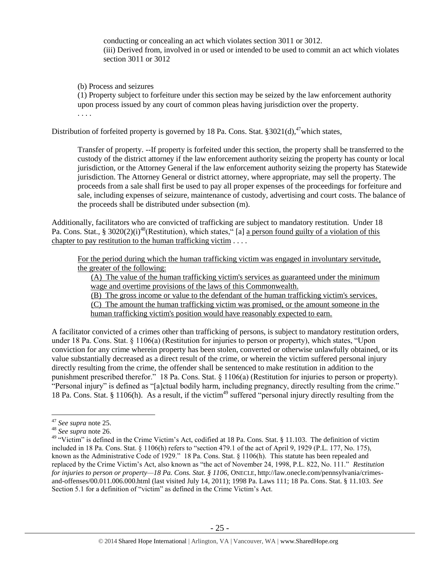conducting or concealing an act which violates section 3011 or 3012. (iii) Derived from, involved in or used or intended to be used to commit an act which violates section 3011 or 3012

(b) Process and seizures

(1) Property subject to forfeiture under this section may be seized by the law enforcement authority upon process issued by any court of common pleas having jurisdiction over the property. . . . .

Distribution of forfeited property is governed by 18 Pa. Cons. Stat.  $$3021(d),^{47}$  which states,

Transfer of property. --If property is forfeited under this section, the property shall be transferred to the custody of the district attorney if the law enforcement authority seizing the property has county or local jurisdiction, or the Attorney General if the law enforcement authority seizing the property has Statewide jurisdiction. The Attorney General or district attorney, where appropriate, may sell the property. The proceeds from a sale shall first be used to pay all proper expenses of the proceedings for forfeiture and sale, including expenses of seizure, maintenance of custody, advertising and court costs. The balance of the proceeds shall be distributed under subsection (m).

Additionally, facilitators who are convicted of trafficking are subject to mandatory restitution. Under 18 Pa. Cons. Stat., § 3020(2)(i)<sup>48</sup>(Restitution), which states,  $\frac{1}{2}$  [a] <u>a person found guilty of a violation of this</u> chapter to pay restitution to the human trafficking victim . . . .

For the period during which the human trafficking victim was engaged in involuntary servitude, the greater of the following:

(A) The value of the human trafficking victim's services as guaranteed under the minimum wage and overtime provisions of the laws of this Commonwealth.

(B) The gross income or value to the defendant of the human trafficking victim's services.

(C) The amount the human trafficking victim was promised, or the amount someone in the human trafficking victim's position would have reasonably expected to earn.

A facilitator convicted of a crimes other than trafficking of persons, is subject to mandatory restitution orders, under 18 Pa. Cons. Stat. § 1106(a) (Restitution for injuries to person or property), which states, "Upon conviction for any crime wherein property has been stolen, converted or otherwise unlawfully obtained, or its value substantially decreased as a direct result of the crime, or wherein the victim suffered personal injury directly resulting from the crime, the offender shall be sentenced to make restitution in addition to the punishment prescribed therefor." 18 Pa. Cons. Stat. § 1106(a) (Restitution for injuries to person or property). "Personal injury" is defined as "[a]ctual bodily harm, including pregnancy, directly resulting from the crime." 18 Pa. Cons. Stat. § 1106(h). As a result, if the victim<sup>49</sup> suffered "personal injury directly resulting from the

<sup>47</sup> *See supra* note [25.](#page-11-0)

<sup>48</sup> *See supra* note [26.](#page-12-0) 

<sup>&</sup>lt;sup>49</sup> "Victim" is defined in the Crime Victim's Act, codified at 18 Pa. Cons. Stat. § 11.103. The definition of victim included in 18 Pa. Cons. Stat. § 1106(h) refers to "section 479.1 of the act of April 9, 1929 (P.L. 177, No. 175), known as the Administrative Code of 1929." 18 Pa. Cons. Stat. § 1106(h). This statute has been repealed and replaced by the Crime Victim's Act, also known as "the act of November 24, 1998, P.L. 822, No. 111." *Restitution for injuries to person or property—18 Pa. Cons. Stat. § 1106*, ONECLE, http://law.onecle.com/pennsylvania/crimesand-offenses/00.011.006.000.html (last visited July 14, 2011); 1998 Pa. Laws 111; 18 Pa. Cons. Stat. § 11.103. *See* Section 5.1 for a definition of "victim" as defined in the Crime Victim's Act.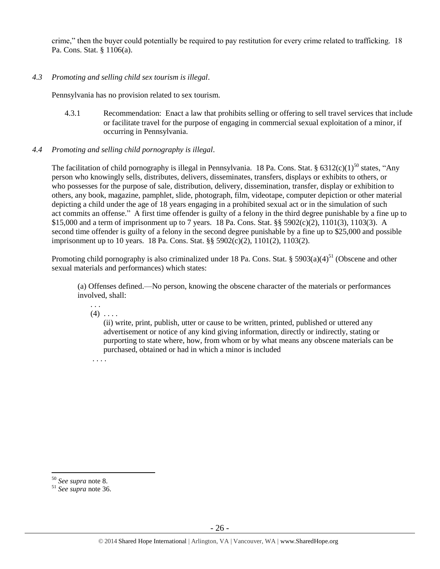crime," then the buyer could potentially be required to pay restitution for every crime related to trafficking. 18 Pa. Cons. Stat. § 1106(a).

# *4.3 Promoting and selling child sex tourism is illegal*.

Pennsylvania has no provision related to sex tourism.

4.3.1 Recommendation: Enact a law that prohibits selling or offering to sell travel services that include or facilitate travel for the purpose of engaging in commercial sexual exploitation of a minor, if occurring in Pennsylvania.

## *4.4 Promoting and selling child pornography is illegal*.

The facilitation of child pornography is illegal in Pennsylvania. 18 Pa. Cons. Stat. §  $6312(c)(1)^{50}$  states, "Any person who knowingly sells, distributes, delivers, disseminates, transfers, displays or exhibits to others, or who possesses for the purpose of sale, distribution, delivery, dissemination, transfer, display or exhibition to others, any book, magazine, pamphlet, slide, photograph, film, videotape, computer depiction or other material depicting a child under the age of 18 years engaging in a prohibited sexual act or in the simulation of such act commits an offense." A first time offender is guilty of a felony in the third degree punishable by a fine up to \$15,000 and a term of imprisonment up to 7 years. 18 Pa. Cons. Stat. §§ 5902(c)(2), 1101(3), 1103(3). A second time offender is guilty of a felony in the second degree punishable by a fine up to \$25,000 and possible imprisonment up to 10 years. 18 Pa. Cons. Stat. §§ 5902(c)(2), 1101(2), 1103(2).

Promoting child pornography is also criminalized under 18 Pa. Cons. Stat. §  $5903(a)(4)^{51}$  (Obscene and other sexual materials and performances) which states:

(a) Offenses defined.—No person, knowing the obscene character of the materials or performances involved, shall:

. . .  $(4)$  ...

. . . .

(ii) write, print, publish, utter or cause to be written, printed, published or uttered any advertisement or notice of any kind giving information, directly or indirectly, stating or purporting to state where, how, from whom or by what means any obscene materials can be purchased, obtained or had in which a minor is included

<sup>50</sup> *See supra* note [8.](#page-3-0)

<sup>51</sup> *See supra* note [36.](#page-17-0)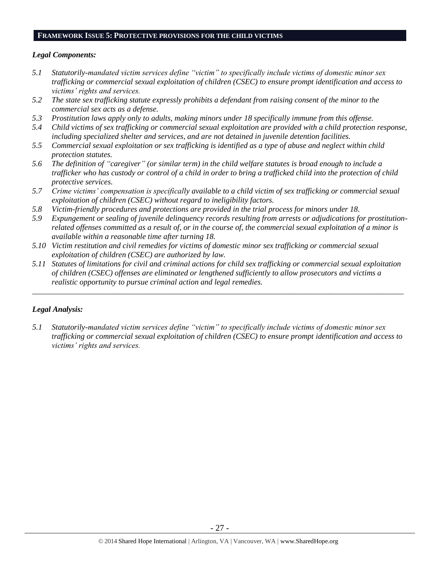#### **FRAMEWORK ISSUE 5: PROTECTIVE PROVISIONS FOR THE CHILD VICTIMS**

## *Legal Components:*

- *5.1 Statutorily-mandated victim services define "victim" to specifically include victims of domestic minor sex trafficking or commercial sexual exploitation of children (CSEC) to ensure prompt identification and access to victims' rights and services.*
- *5.2 The state sex trafficking statute expressly prohibits a defendant from raising consent of the minor to the commercial sex acts as a defense.*
- *5.3 Prostitution laws apply only to adults, making minors under 18 specifically immune from this offense.*
- *5.4 Child victims of sex trafficking or commercial sexual exploitation are provided with a child protection response, including specialized shelter and services, and are not detained in juvenile detention facilities.*
- *5.5 Commercial sexual exploitation or sex trafficking is identified as a type of abuse and neglect within child protection statutes.*
- *5.6 The definition of "caregiver" (or similar term) in the child welfare statutes is broad enough to include a trafficker who has custody or control of a child in order to bring a trafficked child into the protection of child protective services.*
- *5.7 Crime victims' compensation is specifically available to a child victim of sex trafficking or commercial sexual exploitation of children (CSEC) without regard to ineligibility factors.*
- *5.8 Victim-friendly procedures and protections are provided in the trial process for minors under 18.*
- *5.9 Expungement or sealing of juvenile delinquency records resulting from arrests or adjudications for prostitutionrelated offenses committed as a result of, or in the course of, the commercial sexual exploitation of a minor is available within a reasonable time after turning 18.*
- *5.10 Victim restitution and civil remedies for victims of domestic minor sex trafficking or commercial sexual exploitation of children (CSEC) are authorized by law.*
- *5.11 Statutes of limitations for civil and criminal actions for child sex trafficking or commercial sexual exploitation of children (CSEC) offenses are eliminated or lengthened sufficiently to allow prosecutors and victims a realistic opportunity to pursue criminal action and legal remedies.*

*\_\_\_\_\_\_\_\_\_\_\_\_\_\_\_\_\_\_\_\_\_\_\_\_\_\_\_\_\_\_\_\_\_\_\_\_\_\_\_\_\_\_\_\_\_\_\_\_\_\_\_\_\_\_\_\_\_\_\_\_\_\_\_\_\_\_\_\_\_\_\_\_\_\_\_\_\_\_\_\_\_\_\_\_\_\_\_\_\_\_\_\_\_\_*

# *Legal Analysis:*

*5.1 Statutorily-mandated victim services define "victim" to specifically include victims of domestic minor sex trafficking or commercial sexual exploitation of children (CSEC) to ensure prompt identification and access to victims' rights and services.*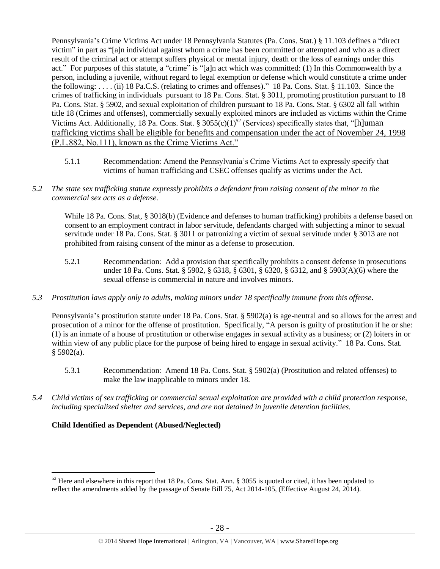Pennsylvania's Crime Victims Act under 18 Pennsylvania Statutes (Pa. Cons. Stat.) § 11.103 defines a "direct victim" in part as "[a]n individual against whom a crime has been committed or attempted and who as a direct result of the criminal act or attempt suffers physical or mental injury, death or the loss of earnings under this act." For purposes of this statute, a "crime" is "[a]n act which was committed: (1) In this Commonwealth by a person, including a juvenile, without regard to legal exemption or defense which would constitute a crime under the following: . . . . (ii) 18 Pa.C.S. (relating to crimes and offenses)." 18 Pa. Cons. Stat. § 11.103. Since the crimes of trafficking in individuals pursuant to 18 Pa. Cons. Stat. § 3011, promoting prostitution pursuant to 18 Pa. Cons. Stat. § 5902, and sexual exploitation of children pursuant to 18 Pa. Cons. Stat. § 6302 all fall within title 18 (Crimes and offenses), commercially sexually exploited minors are included as victims within the Crime Victims Act. Additionally, 18 Pa. Cons. Stat. §  $3055(c)(1)^{52}$  (Services) specifically states that, "[h]uman] trafficking victims shall be eligible for benefits and compensation under the act of November 24, 1998 (P.L.882, No.111), known as the Crime Victims Act."

- 5.1.1 Recommendation: Amend the Pennsylvania's Crime Victims Act to expressly specify that victims of human trafficking and CSEC offenses qualify as victims under the Act.
- *5.2 The state sex trafficking statute expressly prohibits a defendant from raising consent of the minor to the commercial sex acts as a defense.*

While 18 Pa. Cons. Stat, § 3018(b) (Evidence and defenses to human trafficking) prohibits a defense based on consent to an employment contract in labor servitude, defendants charged with subjecting a minor to sexual servitude under 18 Pa. Cons. Stat. § 3011 or patronizing a victim of sexual servitude under § 3013 are not prohibited from raising consent of the minor as a defense to prosecution.

- 5.2.1 Recommendation: Add a provision that specifically prohibits a consent defense in prosecutions under 18 Pa. Cons. Stat. § 5902, § 6318, § 6301, § 6320, § 6312, and § 5903(A)(6) where the sexual offense is commercial in nature and involves minors.
- *5.3 Prostitution laws apply only to adults, making minors under 18 specifically immune from this offense.*

Pennsylvania's prostitution statute under 18 Pa. Cons. Stat. § 5902(a) is age-neutral and so allows for the arrest and prosecution of a minor for the offense of prostitution. Specifically, "A person is guilty of prostitution if he or she: (1) is an inmate of a house of prostitution or otherwise engages in sexual activity as a business; or (2) loiters in or within view of any public place for the purpose of being hired to engage in sexual activity." 18 Pa. Cons. Stat.  $§$  5902(a).

- 5.3.1 Recommendation: Amend 18 Pa. Cons. Stat. § 5902(a) (Prostitution and related offenses) to make the law inapplicable to minors under 18.
- *5.4 Child victims of sex trafficking or commercial sexual exploitation are provided with a child protection response, including specialized shelter and services, and are not detained in juvenile detention facilities.*

# **Child Identified as Dependent (Abused/Neglected)**

 $52$  Here and elsewhere in this report that 18 Pa. Cons. Stat. Ann. § 3055 is quoted or cited, it has been updated to reflect the amendments added by the passage of Senate Bill 75, Act 2014-105, (Effective August 24, 2014).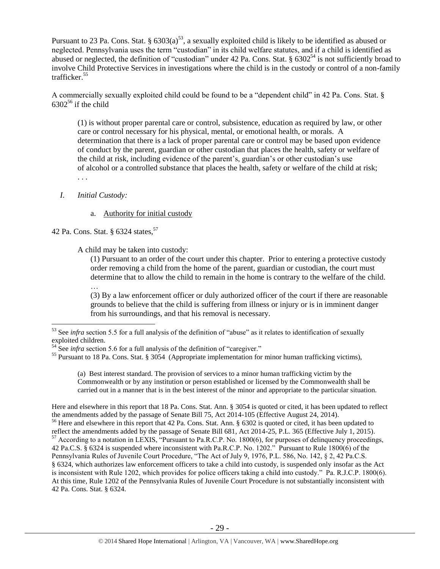Pursuant to 23 Pa. Cons. Stat. §  $6303(a)^{53}$ , a sexually exploited child is likely to be identified as abused or neglected. Pennsylvania uses the term "custodian" in its child welfare statutes, and if a child is identified as abused or neglected, the definition of "custodian" under 42 Pa. Cons. Stat.  $\S 6302^{54}$  is not sufficiently broad to involve Child Protective Services in investigations where the child is in the custody or control of a non-family trafficker.<sup>55</sup>

<span id="page-28-1"></span><span id="page-28-0"></span>A commercially sexually exploited child could be found to be a "dependent child" in 42 Pa. Cons. Stat. §  $6302^{56}$  if the child

(1) is without proper parental care or control, subsistence, education as required by law, or other care or control necessary for his physical, mental, or emotional health, or morals. A determination that there is a lack of proper parental care or control may be based upon evidence of conduct by the parent, guardian or other custodian that places the health, safety or welfare of the child at risk, including evidence of the parent's, guardian's or other custodian's use of alcohol or a controlled substance that places the health, safety or welfare of the child at risk; . . .

# *I. Initial Custody:*

 $\overline{a}$ 

#### a. Authority for initial custody

42 Pa. Cons. Stat. § 6324 states.<sup>57</sup>

A child may be taken into custody:

(1) Pursuant to an order of the court under this chapter. Prior to entering a protective custody order removing a child from the home of the parent, guardian or custodian, the court must determine that to allow the child to remain in the home is contrary to the welfare of the child. …

(3) By a law enforcement officer or duly authorized officer of the court if there are reasonable grounds to believe that the child is suffering from illness or injury or is in imminent danger from his surroundings, and that his removal is necessary.

(a) Best interest standard. The provision of services to a minor human trafficking victim by the Commonwealth or by any institution or person established or licensed by the Commonwealth shall be carried out in a manner that is in the best interest of the minor and appropriate to the particular situation.

Here and elsewhere in this report that 18 Pa. Cons. Stat. Ann. § 3054 is quoted or cited, it has been updated to reflect the amendments added by the passage of Senate Bill 75, Act 2014-105 (Effective August 24, 2014).

<sup>56</sup> Here and elsewhere in this report that 42 Pa. Cons. Stat. Ann. § 6302 is quoted or cited, it has been updated to reflect the amendments added by the passage of Senate Bill 681, Act 2014-25, P.L. 365 (Effective July 1, 2015).  $57$  According to a notation in LEXIS, "Pursuant to Pa.R.C.P. No. 1800(6), for purposes of delinquency proceedings, 42 Pa.C.S. § 6324 is suspended where inconsistent with Pa.R.C.P. No. 1202." Pursuant to Rule 1800(6) of the Pennsylvania Rules of Juvenile Court Procedure, "The Act of July 9, 1976, P.L. 586, No. 142, § 2, 42 Pa.C.S. § 6324, which authorizes law enforcement officers to take a child into custody, is suspended only insofar as the Act is inconsistent with Rule 1202, which provides for police officers taking a child into custody." Pa. R.J.C.P. 1800(6). At this time, Rule 1202 of the Pennsylvania Rules of Juvenile Court Procedure is not substantially inconsistent with 42 Pa. Cons. Stat. § 6324.

<sup>&</sup>lt;sup>53</sup> See *infra* section 5.5 for a full analysis of the definition of "abuse" as it relates to identification of sexually exploited children.

<sup>&</sup>lt;sup>54</sup> See *infra* section 5.6 for a full analysis of the definition of "caregiver."

<sup>&</sup>lt;sup>55</sup> Pursuant to 18 Pa. Cons. Stat. § 3054 (Appropriate implementation for minor human trafficking victims),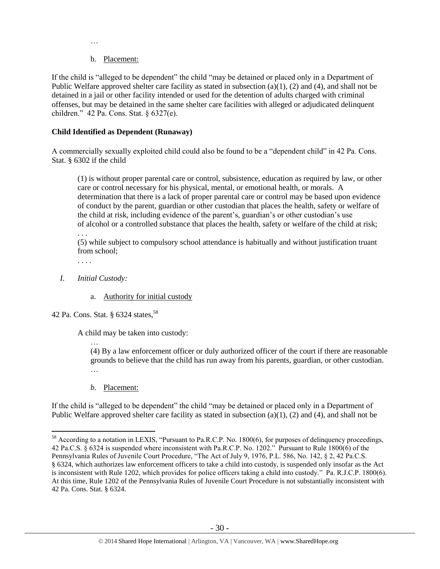# b. Placement:

…

If the child is "alleged to be dependent" the child "may be detained or placed only in a Department of Public Welfare approved shelter care facility as stated in subsection (a)(1), (2) and (4), and shall not be detained in a jail or other facility intended or used for the detention of adults charged with criminal offenses, but may be detained in the same shelter care facilities with alleged or adjudicated delinquent children." 42 Pa. Cons. Stat. § 6327(e).

## **Child Identified as Dependent (Runaway)**

A commercially sexually exploited child could also be found to be a "dependent child" in 42 Pa. Cons. Stat. § 6302 if the child

(1) is without proper parental care or control, subsistence, education as required by law, or other care or control necessary for his physical, mental, or emotional health, or morals. A determination that there is a lack of proper parental care or control may be based upon evidence of conduct by the parent, guardian or other custodian that places the health, safety or welfare of the child at risk, including evidence of the parent's, guardian's or other custodian's use of alcohol or a controlled substance that places the health, safety or welfare of the child at risk;

. . . (5) while subject to compulsory school attendance is habitually and without justification truant from school;

. . . .

 $\overline{a}$ 

- *I. Initial Custody:* 
	- a. Authority for initial custody

42 Pa. Cons. Stat. § 6324 states,<sup>58</sup>

A child may be taken into custody:

… (4) By a law enforcement officer or duly authorized officer of the court if there are reasonable grounds to believe that the child has run away from his parents, guardian, or other custodian. …

*b.* Placement:

If the child is "alleged to be dependent" the child "may be detained or placed only in a Department of Public Welfare approved shelter care facility as stated in subsection (a)(1), (2) and (4), and shall not be

<sup>58</sup> According to a notation in LEXIS, "Pursuant to Pa.R.C.P. No. 1800(6), for purposes of delinquency proceedings, 42 Pa.C.S. § 6324 is suspended where inconsistent with Pa.R.C.P. No. 1202." Pursuant to Rule 1800(6) of the Pennsylvania Rules of Juvenile Court Procedure, "The Act of July 9, 1976, P.L. 586, No. 142, § 2, 42 Pa.C.S. § 6324, which authorizes law enforcement officers to take a child into custody, is suspended only insofar as the Act is inconsistent with Rule 1202, which provides for police officers taking a child into custody." Pa. R.J.C.P. 1800(6). At this time, Rule 1202 of the Pennsylvania Rules of Juvenile Court Procedure is not substantially inconsistent with 42 Pa. Cons. Stat. § 6324.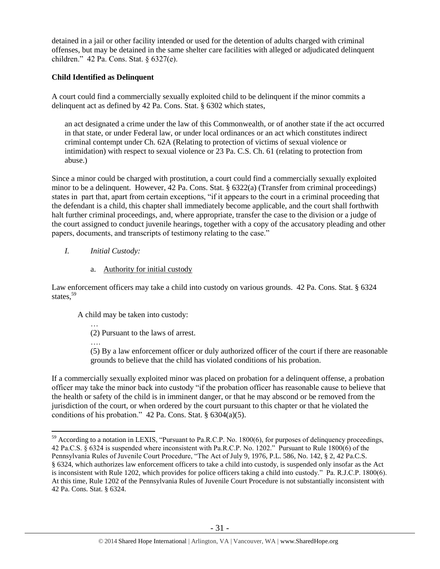detained in a jail or other facility intended or used for the detention of adults charged with criminal offenses, but may be detained in the same shelter care facilities with alleged or adjudicated delinquent children." 42 Pa. Cons. Stat. § 6327(e).

# **Child Identified as Delinquent**

A court could find a commercially sexually exploited child to be delinquent if the minor commits a delinquent act as defined by 42 Pa. Cons. Stat. § 6302 which states,

an act designated a crime under the law of this Commonwealth, or of another state if the act occurred in that state, or under Federal law, or under local ordinances or an act which constitutes indirect criminal contempt under Ch. 62A (Relating to protection of victims of sexual violence or intimidation) with respect to sexual violence or 23 Pa. C.S. Ch. 61 (relating to protection from abuse.)

Since a minor could be charged with prostitution, a court could find a commercially sexually exploited minor to be a delinquent. However, 42 Pa. Cons. Stat. § 6322(a) (Transfer from criminal proceedings) states in part that, apart from certain exceptions, "if it appears to the court in a criminal proceeding that the defendant is a child, this chapter shall immediately become applicable, and the court shall forthwith halt further criminal proceedings, and, where appropriate, transfer the case to the division or a judge of the court assigned to conduct juvenile hearings, together with a copy of the accusatory pleading and other papers, documents, and transcripts of testimony relating to the case."

# *I. Initial Custody:*

 $\overline{a}$ 

a. Authority for initial custody

Law enforcement officers may take a child into custody on various grounds. 42 Pa. Cons. Stat. § 6324 states.<sup>59</sup>

A child may be taken into custody:

… (2) Pursuant to the laws of arrest.

…. (5) By a law enforcement officer or duly authorized officer of the court if there are reasonable grounds to believe that the child has violated conditions of his probation.

If a commercially sexually exploited minor was placed on probation for a delinquent offense, a probation officer may take the minor back into custody "if the probation officer has reasonable cause to believe that the health or safety of the child is in imminent danger, or that he may abscond or be removed from the jurisdiction of the court, or when ordered by the court pursuant to this chapter or that he violated the conditions of his probation."  $42$  Pa. Cons. Stat. §  $6304(a)(5)$ .

<sup>&</sup>lt;sup>59</sup> According to a notation in LEXIS, "Pursuant to Pa.R.C.P. No. 1800(6), for purposes of delinquency proceedings, 42 Pa.C.S. § 6324 is suspended where inconsistent with Pa.R.C.P. No. 1202." Pursuant to Rule 1800(6) of the Pennsylvania Rules of Juvenile Court Procedure, "The Act of July 9, 1976, P.L. 586, No. 142, § 2, 42 Pa.C.S. § 6324, which authorizes law enforcement officers to take a child into custody, is suspended only insofar as the Act is inconsistent with Rule 1202, which provides for police officers taking a child into custody." Pa. R.J.C.P. 1800(6). At this time, Rule 1202 of the Pennsylvania Rules of Juvenile Court Procedure is not substantially inconsistent with 42 Pa. Cons. Stat. § 6324.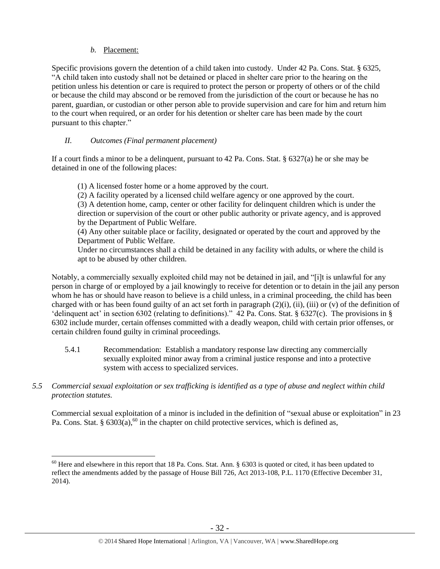# *b.* Placement:

 $\overline{a}$ 

Specific provisions govern the detention of a child taken into custody. Under 42 Pa. Cons. Stat. § 6325, "A child taken into custody shall not be detained or placed in shelter care prior to the hearing on the petition unless his detention or care is required to protect the person or property of others or of the child or because the child may abscond or be removed from the jurisdiction of the court or because he has no parent, guardian, or custodian or other person able to provide supervision and care for him and return him to the court when required, or an order for his detention or shelter care has been made by the court pursuant to this chapter."

# *II. Outcomes (Final permanent placement)*

If a court finds a minor to be a delinquent, pursuant to 42 Pa. Cons. Stat. § 6327(a) he or she may be detained in one of the following places:

(1) A licensed foster home or a home approved by the court.

(2) A facility operated by a licensed child welfare agency or one approved by the court. (3) A detention home, camp, center or other facility for delinquent children which is under the direction or supervision of the court or other public authority or private agency, and is approved by the Department of Public Welfare.

(4) Any other suitable place or facility, designated or operated by the court and approved by the Department of Public Welfare.

Under no circumstances shall a child be detained in any facility with adults, or where the child is apt to be abused by other children.

Notably, a commercially sexually exploited child may not be detained in jail, and "[i]t is unlawful for any person in charge of or employed by a jail knowingly to receive for detention or to detain in the jail any person whom he has or should have reason to believe is a child unless, in a criminal proceeding, the child has been charged with or has been found guilty of an act set forth in paragraph  $(2)(i)$ ,  $(ii)$ ,  $(iii)$  or  $(v)$  of the definition of 'delinquent act' in section 6302 (relating to definitions)." 42 Pa. Cons. Stat. § 6327(c). The provisions in § 6302 include murder, certain offenses committed with a deadly weapon, child with certain prior offenses, or certain children found guilty in criminal proceedings.

- 5.4.1 Recommendation: Establish a mandatory response law directing any commercially sexually exploited minor away from a criminal justice response and into a protective system with access to specialized services.
- *5.5 Commercial sexual exploitation or sex trafficking is identified as a type of abuse and neglect within child protection statutes.*

<span id="page-31-0"></span>Commercial sexual exploitation of a minor is included in the definition of "sexual abuse or exploitation" in 23 Pa. Cons. Stat. §  $6303(a)$ , <sup>60</sup> in the chapter on child protective services, which is defined as,

 $60$  Here and elsewhere in this report that 18 Pa. Cons. Stat. Ann. § 6303 is quoted or cited, it has been updated to reflect the amendments added by the passage of House Bill 726, Act 2013-108, P.L. 1170 (Effective December 31, 2014).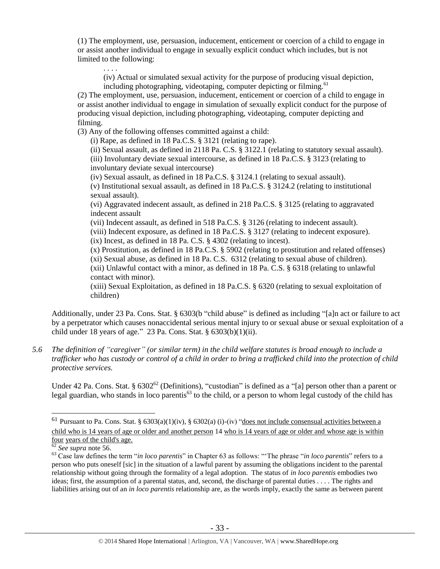(1) The employment, use, persuasion, inducement, enticement or coercion of a child to engage in or assist another individual to engage in sexually explicit conduct which includes, but is not limited to the following:

(iv) Actual or simulated sexual activity for the purpose of producing visual depiction, including photographing, videotaping, computer depicting or filming.<sup>61</sup>

(2) The employment, use, persuasion, inducement, enticement or coercion of a child to engage in or assist another individual to engage in simulation of sexually explicit conduct for the purpose of producing visual depiction, including photographing, videotaping, computer depicting and filming.

(3) Any of the following offenses committed against a child:

. . . .

(i) Rape, as defined in 18 Pa.C.S. § 3121 (relating to rape).

(ii) Sexual assault, as defined in 2118 Pa. C.S. § 3122.1 (relating to statutory sexual assault).

(iii) Involuntary deviate sexual intercourse, as defined in 18 Pa.C.S. § 3123 (relating to involuntary deviate sexual intercourse)

(iv) Sexual assault, as defined in 18 Pa.C.S. § 3124.1 (relating to sexual assault).

(v) Institutional sexual assault, as defined in 18 Pa.C.S. § 3124.2 (relating to institutional sexual assault).

(vi) Aggravated indecent assault, as defined in 218 Pa.C.S. § 3125 (relating to aggravated indecent assault

(vii) Indecent assault, as defined in 518 Pa.C.S. § 3126 (relating to indecent assault).

(viii) Indecent exposure, as defined in 18 Pa.C.S. § 3127 (relating to indecent exposure). (ix) Incest, as defined in 18 Pa. C.S. § 4302 (relating to incest).

(x) Prostitution, as defined in 18 Pa.C.S. § 5902 (relating to prostitution and related offenses) (xi) Sexual abuse, as defined in 18 Pa. C.S. 6312 (relating to sexual abuse of children). (xii) Unlawful contact with a minor, as defined in 18 Pa. C.S. § 6318 (relating to unlawful contact with minor).

(xiii) Sexual Exploitation, as defined in 18 Pa.C.S. § 6320 (relating to sexual exploitation of children)

Additionally, under 23 Pa. Cons. Stat. § 6303(b "child abuse" is defined as including "[a]n act or failure to act by a perpetrator which causes nonaccidental serious mental injury to or sexual abuse or sexual exploitation of a child under 18 years of age." 23 Pa. Cons. Stat. § 6303(b)(1)(ii).

*5.6 The definition of "caregiver" (or similar term) in the child welfare statutes is broad enough to include a trafficker who has custody or control of a child in order to bring a trafficked child into the protection of child protective services.*

Under 42 Pa. Cons. Stat. §  $6302^{62}$  (Definitions), "custodian" is defined as a "[a] person other than a parent or legal guardian, who stands in loco parentis<sup>63</sup> to the child, or a person to whom legal custody of the child has

<sup>&</sup>lt;sup>61</sup> Pursuant to Pa. Cons. Stat. §  $6303(a)(1)(iv)$ , §  $6302(a)(i)-(iv)$  "does not include consensual activities between a child who is 14 years of age or older and another person 14 who is 14 years of age or older and whose age is within four years of the child's age.

<sup>62</sup> *See supra* note [56.](#page-28-0)

<sup>63</sup> Case law defines the term "*in loco parentis*" in Chapter 63 as follows: "'The phrase "*in loco parentis*" refers to a person who puts oneself [sic] in the situation of a lawful parent by assuming the obligations incident to the parental relationship without going through the formality of a legal adoption. The status of *in loco parentis* embodies two ideas; first, the assumption of a parental status, and, second, the discharge of parental duties . . . . The rights and liabilities arising out of an *in loco parentis* relationship are, as the words imply, exactly the same as between parent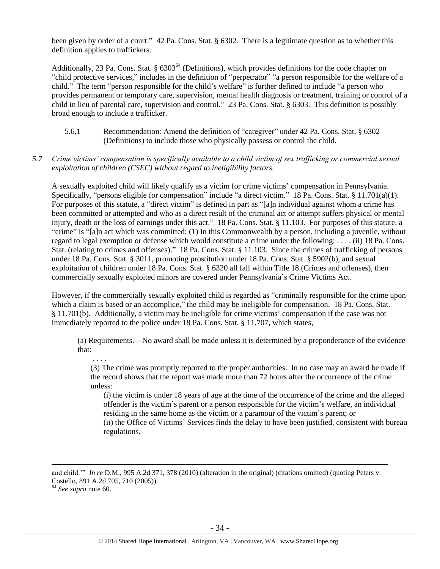been given by order of a court." 42 Pa. Cons. Stat. § 6302. There is a legitimate question as to whether this definition applies to traffickers.

Additionally, 23 Pa. Cons. Stat. § 6303<sup>64</sup> (Definitions), which provides definitions for the code chapter on "child protective services," includes in the definition of "perpetrator" "a person responsible for the welfare of a child." The term "person responsible for the child's welfare" is further defined to include "a person who provides permanent or temporary care, supervision, mental health diagnosis or treatment, training or control of a child in lieu of parental care, supervision and control." 23 Pa. Cons. Stat. § 6303. This definition is possibly broad enough to include a trafficker.

5.6.1 Recommendation: Amend the definition of "caregiver" under 42 Pa. Cons. Stat. § 6302 (Definitions) to include those who physically possess or control the child.

## *5.7 Crime victims' compensation is specifically available to a child victim of sex trafficking or commercial sexual exploitation of children (CSEC) without regard to ineligibility factors.*

A sexually exploited child will likely qualify as a victim for crime victims' compensation in Pennsylvania. Specifically, "persons eligible for compensation" include "a direct victim." 18 Pa. Cons. Stat. § 11.701(a)(1). For purposes of this statute, a "direct victim" is defined in part as "[a]n individual against whom a crime has been committed or attempted and who as a direct result of the criminal act or attempt suffers physical or mental injury, death or the loss of earnings under this act." 18 Pa. Cons. Stat. § 11.103. For purposes of this statute, a "crime" is "[a]n act which was committed: (1) In this Commonwealth by a person, including a juvenile, without regard to legal exemption or defense which would constitute a crime under the following: . . . . (ii) 18 Pa. Cons. Stat. (relating to crimes and offenses)." 18 Pa. Cons. Stat. § 11.103. Since the crimes of trafficking of persons under 18 Pa. Cons. Stat. § 3011, promoting prostitution under 18 Pa. Cons. Stat. § 5902(b), and sexual exploitation of children under 18 Pa. Cons. Stat. § 6320 all fall within Title 18 (Crimes and offenses), then commercially sexually exploited minors are covered under Pennsylvania's Crime Victims Act.

However, if the commercially sexually exploited child is regarded as "criminally responsible for the crime upon which a claim is based or an accomplice," the child may be ineligible for compensation. 18 Pa. Cons. Stat. § 11.701(b). Additionally, a victim may be ineligible for crime victims' compensation if the case was not immediately reported to the police under 18 Pa. Cons. Stat. § 11.707, which states,

(a) Requirements.—No award shall be made unless it is determined by a preponderance of the evidence that:

(3) The crime was promptly reported to the proper authorities. In no case may an award be made if the record shows that the report was made more than 72 hours after the occurrence of the crime unless:

(i) the victim is under 18 years of age at the time of the occurrence of the crime and the alleged offender is the victim's parent or a person responsible for the victim's welfare, an individual residing in the same home as the victim or a paramour of the victim's parent; or (ii) the Office of Victims' Services finds the delay to have been justified, consistent with bureau

regulations.

. . . .

and child.'" *In re* D.M.*,* 995 A.2d 371, 378 (2010) (alteration in the original) (citations omitted) (quoting Peters v. Costello*,* 891 A.2d 705, 710 (2005)).

<sup>64</sup> *See supra* note [60.](#page-31-0)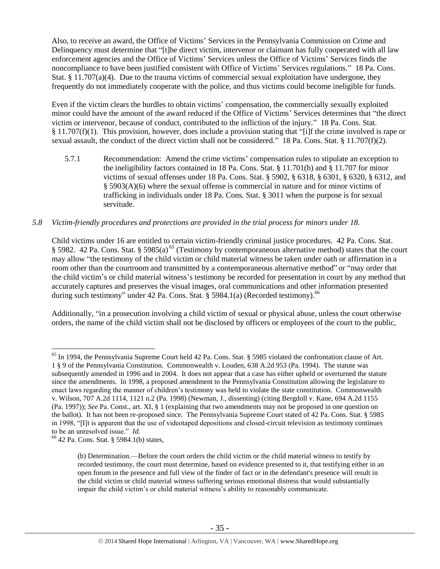Also, to receive an award, the Office of Victims' Services in the Pennsylvania Commission on Crime and Delinquency must determine that "[t]he direct victim, intervenor or claimant has fully cooperated with all law enforcement agencies and the Office of Victims' Services unless the Office of Victims' Services finds the noncompliance to have been justified consistent with Office of Victims' Services regulations." 18 Pa. Cons. Stat. § 11.707(a)(4). Due to the trauma victims of commercial sexual exploitation have undergone, they frequently do not immediately cooperate with the police, and thus victims could become ineligible for funds.

Even if the victim clears the hurdles to obtain victims' compensation, the commercially sexually exploited minor could have the amount of the award reduced if the Office of Victims' Services determines that "the direct victim or intervenor, because of conduct, contributed to the infliction of the injury." 18 Pa. Cons. Stat. § 11.707(f)(1). This provision, however, does include a provision stating that "[i]f the crime involved is rape or sexual assault, the conduct of the direct victim shall not be considered." 18 Pa. Cons. Stat. § 11.707(f)(2).

5.7.1 Recommendation: Amend the crime victims' compensation rules to stipulate an exception to the ineligibility factors contained in 18 Pa. Cons. Stat. § 11.701(b) and § 11.707 for minor victims of sexual offenses under 18 Pa. Cons. Stat. § 5902, § 6318, § 6301, § 6320, § 6312, and § 5903(A)(6) where the sexual offense is commercial in nature and for minor victims of trafficking in individuals under 18 Pa. Cons. Stat. § 3011 when the purpose is for sexual servitude.

## *5.8 Victim-friendly procedures and protections are provided in the trial process for minors under 18.*

Child victims under 16 are entitled to certain victim-friendly criminal justice procedures. 42 Pa. Cons. Stat. § 5982. 42 Pa. Cons. Stat. § 5985(a)<sup>65</sup> (Testimony by contemporaneous alternative method) states that the court may allow "the testimony of the child victim or child material witness be taken under oath or affirmation in a room other than the courtroom and transmitted by a contemporaneous alternative method" or "may order that the child victim's or child material witness's testimony be recorded for presentation in court by any method that accurately captures and preserves the visual images, oral communications and other information presented during such testimony" under 42 Pa. Cons. Stat. § 5984.1(a) (Recorded testimony).<sup>66</sup>

Additionally, "in a prosecution involving a child victim of sexual or physical abuse, unless the court otherwise orders, the name of the child victim shall not be disclosed by officers or employees of the court to the public,

<sup>&</sup>lt;sup>65</sup> In 1994, the Pennsylvania Supreme Court held 42 Pa. Cons. Stat. § 5985 violated the confrontation clause of Art. 1 § 9 of the Pennsylvania Constitution. Commonwealth v. Louden, 638 A.2d 953 (Pa. 1994). The statute was subsequently amended in 1996 and in 2004. It does not appear that a case has either upheld or overturned the statute since the amendments. In 1998, a proposed amendment to the Pennsylvania Constitution allowing the legislature to enact laws regarding the manner of children's testimony was held to violate the state constitution. Commonwealth v. Wilson, 707 A.2d 1114, 1121 n.2 (Pa. 1998) (Newman, J., dissenting) (citing Bergdoll v. Kane, 694 A.2d 1155 (Pa. 1997)); *See* Pa. Const., art. XI, § 1 (explaining that two amendments may not be proposed in one question on the ballot). It has not been re-proposed since. The Pennsylvania Supreme Court stated of 42 Pa. Cons. Stat. § 5985 in 1998, "[I]t is apparent that the use of videotaped depositions and closed-circuit television as testimony continues to be an unresolved issue." *Id.*

<sup>66</sup> 42 Pa. Cons. Stat. § 5984.1(b) states,

<sup>(</sup>b) Determination.—Before the court orders the child victim or the child material witness to testify by recorded testimony, the court must determine, based on evidence presented to it, that testifying either in an open forum in the presence and full view of the finder of fact or in the defendant's presence will result in the child victim or child material witness suffering serious emotional distress that would substantially impair the child victim's or child material witness's ability to reasonably communicate.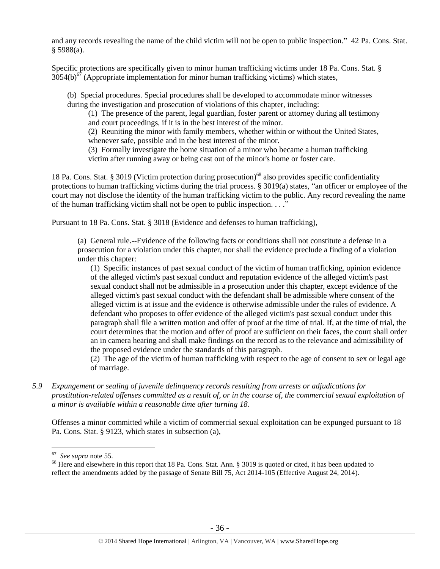and any records revealing the name of the child victim will not be open to public inspection." 42 Pa. Cons. Stat. § 5988(a).

Specific protections are specifically given to minor human trafficking victims under 18 Pa. Cons. Stat. §  $3054(b)^{67}$  (Appropriate implementation for minor human trafficking victims) which states,

(b) Special procedures. Special procedures shall be developed to accommodate minor witnesses during the investigation and prosecution of violations of this chapter, including:

(1) The presence of the parent, legal guardian, foster parent or attorney during all testimony and court proceedings, if it is in the best interest of the minor.

(2) Reuniting the minor with family members, whether within or without the United States,

whenever safe, possible and in the best interest of the minor.

(3) Formally investigate the home situation of a minor who became a human trafficking victim after running away or being cast out of the minor's home or foster care.

18 Pa. Cons. Stat. § 3019 (Victim protection during prosecution)<sup>68</sup> also provides specific confidentiality protections to human trafficking victims during the trial process. § 3019(a) states, "an officer or employee of the court may not disclose the identity of the human trafficking victim to the public. Any record revealing the name of the human trafficking victim shall not be open to public inspection. . . ."

Pursuant to 18 Pa. Cons. Stat. § 3018 (Evidence and defenses to human trafficking),

(a) General rule.--Evidence of the following facts or conditions shall not constitute a defense in a prosecution for a violation under this chapter, nor shall the evidence preclude a finding of a violation under this chapter:

(1) Specific instances of past sexual conduct of the victim of human trafficking, opinion evidence of the alleged victim's past sexual conduct and reputation evidence of the alleged victim's past sexual conduct shall not be admissible in a prosecution under this chapter, except evidence of the alleged victim's past sexual conduct with the defendant shall be admissible where consent of the alleged victim is at issue and the evidence is otherwise admissible under the rules of evidence. A defendant who proposes to offer evidence of the alleged victim's past sexual conduct under this paragraph shall file a written motion and offer of proof at the time of trial. If, at the time of trial, the court determines that the motion and offer of proof are sufficient on their faces, the court shall order an in camera hearing and shall make findings on the record as to the relevance and admissibility of the proposed evidence under the standards of this paragraph.

(2) The age of the victim of human trafficking with respect to the age of consent to sex or legal age of marriage.

*5.9 Expungement or sealing of juvenile delinquency records resulting from arrests or adjudications for prostitution-related offenses committed as a result of, or in the course of, the commercial sexual exploitation of a minor is available within a reasonable time after turning 18.*

Offenses a minor committed while a victim of commercial sexual exploitation can be expunged pursuant to 18 Pa. Cons. Stat. § 9123, which states in subsection (a),

 67 *See supra* note [55.](#page-28-1)

<sup>&</sup>lt;sup>68</sup> Here and elsewhere in this report that 18 Pa. Cons. Stat. Ann. § 3019 is quoted or cited, it has been updated to reflect the amendments added by the passage of Senate Bill 75, Act 2014-105 (Effective August 24, 2014).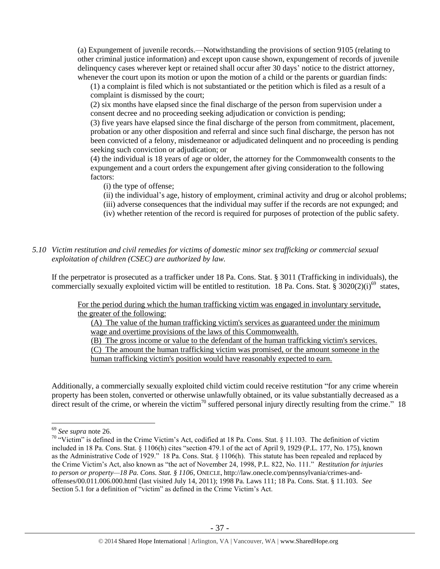(a) Expungement of juvenile records.—Notwithstanding the provisions of section 9105 (relating to other criminal justice information) and except upon cause shown, expungement of records of juvenile delinquency cases wherever kept or retained shall occur after 30 days' notice to the district attorney, whenever the court upon its motion or upon the motion of a child or the parents or guardian finds:

(1) a complaint is filed which is not substantiated or the petition which is filed as a result of a complaint is dismissed by the court;

(2) six months have elapsed since the final discharge of the person from supervision under a consent decree and no proceeding seeking adjudication or conviction is pending;

(3) five years have elapsed since the final discharge of the person from commitment, placement, probation or any other disposition and referral and since such final discharge, the person has not been convicted of a felony, misdemeanor or adjudicated delinquent and no proceeding is pending seeking such conviction or adjudication; or

(4) the individual is 18 years of age or older, the attorney for the Commonwealth consents to the expungement and a court orders the expungement after giving consideration to the following factors:

(i) the type of offense;

(ii) the individual's age, history of employment, criminal activity and drug or alcohol problems;

(iii) adverse consequences that the individual may suffer if the records are not expunged; and

(iv) whether retention of the record is required for purposes of protection of the public safety.

## *5.10 Victim restitution and civil remedies for victims of domestic minor sex trafficking or commercial sexual exploitation of children (CSEC) are authorized by law.*

If the perpetrator is prosecuted as a trafficker under 18 Pa. Cons. Stat. § 3011 (Trafficking in individuals), the commercially sexually exploited victim will be entitled to restitution. 18 Pa. Cons. Stat. §  $3020(2)(i)^{69}$  states,

For the period during which the human trafficking victim was engaged in involuntary servitude, the greater of the following:

(A) The value of the human trafficking victim's services as guaranteed under the minimum wage and overtime provisions of the laws of this Commonwealth.

(B) The gross income or value to the defendant of the human trafficking victim's services.

(C) The amount the human trafficking victim was promised, or the amount someone in the human trafficking victim's position would have reasonably expected to earn.

Additionally, a commercially sexually exploited child victim could receive restitution "for any crime wherein property has been stolen, converted or otherwise unlawfully obtained, or its value substantially decreased as a direct result of the crime, or wherein the victim<sup>70</sup> suffered personal injury directly resulting from the crime." 18

<sup>69</sup> *See supra* note [26.](#page-12-0) 

<sup>&</sup>lt;sup>70</sup> "Victim" is defined in the Crime Victim's Act, codified at 18 Pa. Cons. Stat. § 11.103. The definition of victim included in 18 Pa. Cons. Stat. § 1106(h) cites "section 479.1 of the act of April 9, 1929 (P.L. 177, No. 175), known as the Administrative Code of 1929." 18 Pa. Cons. Stat. § 1106(h). This statute has been repealed and replaced by the Crime Victim's Act, also known as "the act of November 24, 1998, P.L. 822, No. 111." *Restitution for injuries to person or property—18 Pa. Cons. Stat. § 1106*, ONECLE, http://law.onecle.com/pennsylvania/crimes-andoffenses/00.011.006.000.html (last visited July 14, 2011); 1998 Pa. Laws 111; 18 Pa. Cons. Stat. § 11.103. *See* Section 5.1 for a definition of "victim" as defined in the Crime Victim's Act.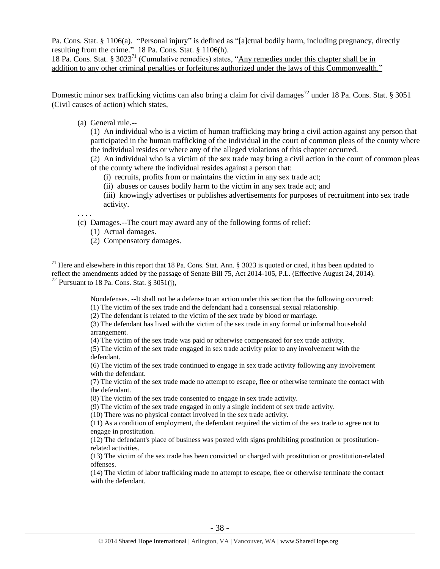Pa. Cons. Stat. § 1106(a). "Personal injury" is defined as "[a]ctual bodily harm, including pregnancy, directly resulting from the crime." 18 Pa. Cons. Stat. § 1106(h).

18 Pa. Cons. Stat. § 3023<sup>71</sup> (Cumulative remedies) states, "Any remedies under this chapter shall be in addition to any other criminal penalties or forfeitures authorized under the laws of this Commonwealth."

Domestic minor sex trafficking victims can also bring a claim for civil damages<sup>72</sup> under 18 Pa. Cons. Stat. § 3051 (Civil causes of action) which states,

#### (a) General rule.--

(1) An individual who is a victim of human trafficking may bring a civil action against any person that participated in the human trafficking of the individual in the court of common pleas of the county where the individual resides or where any of the alleged violations of this chapter occurred.

(2) An individual who is a victim of the sex trade may bring a civil action in the court of common pleas of the county where the individual resides against a person that:

- (i) recruits, profits from or maintains the victim in any sex trade act;
- (ii) abuses or causes bodily harm to the victim in any sex trade act; and

(iii) knowingly advertises or publishes advertisements for purposes of recruitment into sex trade activity.

. . . .

 $\overline{a}$ 

(c) Damages.--The court may award any of the following forms of relief:

- (1) Actual damages.
- (2) Compensatory damages.

Nondefenses. --It shall not be a defense to an action under this section that the following occurred:

(1) The victim of the sex trade and the defendant had a consensual sexual relationship.

(2) The defendant is related to the victim of the sex trade by blood or marriage.

(4) The victim of the sex trade was paid or otherwise compensated for sex trade activity.

(6) The victim of the sex trade continued to engage in sex trade activity following any involvement with the defendant.

(7) The victim of the sex trade made no attempt to escape, flee or otherwise terminate the contact with the defendant.

(8) The victim of the sex trade consented to engage in sex trade activity.

(9) The victim of the sex trade engaged in only a single incident of sex trade activity.

(10) There was no physical contact involved in the sex trade activity.

(11) As a condition of employment, the defendant required the victim of the sex trade to agree not to engage in prostitution.

(12) The defendant's place of business was posted with signs prohibiting prostitution or prostitutionrelated activities.

(13) The victim of the sex trade has been convicted or charged with prostitution or prostitution-related offenses.

(14) The victim of labor trafficking made no attempt to escape, flee or otherwise terminate the contact with the defendant.

<sup>&</sup>lt;sup>71</sup> Here and elsewhere in this report that 18 Pa. Cons. Stat. Ann. § 3023 is quoted or cited, it has been updated to reflect the amendments added by the passage of Senate Bill 75, Act 2014-105, P.L. (Effective August 24, 2014).  $^{72}$  Pursuant to 18 Pa. Cons. Stat. § 3051(j),

<sup>(3)</sup> The defendant has lived with the victim of the sex trade in any formal or informal household arrangement.

<sup>(5)</sup> The victim of the sex trade engaged in sex trade activity prior to any involvement with the defendant.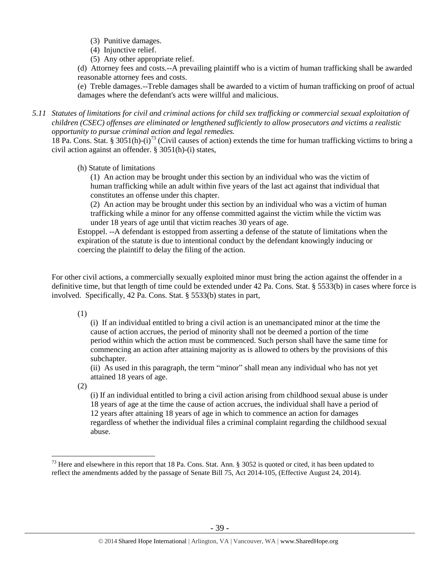- (3) Punitive damages.
- (4) Injunctive relief.

(5) Any other appropriate relief.

(d) Attorney fees and costs.--A prevailing plaintiff who is a victim of human trafficking shall be awarded reasonable attorney fees and costs.

(e) Treble damages.--Treble damages shall be awarded to a victim of human trafficking on proof of actual damages where the defendant's acts were willful and malicious.

## *5.11 Statutes of limitations for civil and criminal actions for child sex trafficking or commercial sexual exploitation of children (CSEC) offenses are eliminated or lengthened sufficiently to allow prosecutors and victims a realistic opportunity to pursue criminal action and legal remedies.*

18 Pa. Cons. Stat. § 3051(h)-(i)<sup>73</sup> (Civil causes of action) extends the time for human trafficking victims to bring a civil action against an offender. § 3051(h)-(i) states,

(h) Statute of limitations

(1) An action may be brought under this section by an individual who was the victim of human trafficking while an adult within five years of the last act against that individual that constitutes an offense under this chapter.

(2) An action may be brought under this section by an individual who was a victim of human trafficking while a minor for any offense committed against the victim while the victim was under 18 years of age until that victim reaches 30 years of age.

Estoppel. --A defendant is estopped from asserting a defense of the statute of limitations when the expiration of the statute is due to intentional conduct by the defendant knowingly inducing or coercing the plaintiff to delay the filing of the action.

For other civil actions, a commercially sexually exploited minor must bring the action against the offender in a definitive time, but that length of time could be extended under 42 Pa. Cons. Stat. § 5533(b) in cases where force is involved. Specifically, 42 Pa. Cons. Stat. § 5533(b) states in part,

(1)

(i) If an individual entitled to bring a civil action is an unemancipated minor at the time the cause of action accrues, the period of minority shall not be deemed a portion of the time period within which the action must be commenced. Such person shall have the same time for commencing an action after attaining majority as is allowed to others by the provisions of this subchapter.

(ii) As used in this paragraph, the term "minor" shall mean any individual who has not yet attained 18 years of age.

(2)

 $\overline{a}$ 

(i) If an individual entitled to bring a civil action arising from childhood sexual abuse is under 18 years of age at the time the cause of action accrues, the individual shall have a period of 12 years after attaining 18 years of age in which to commence an action for damages regardless of whether the individual files a criminal complaint regarding the childhood sexual abuse.

<sup>&</sup>lt;sup>73</sup> Here and elsewhere in this report that 18 Pa. Cons. Stat. Ann. § 3052 is quoted or cited, it has been updated to reflect the amendments added by the passage of Senate Bill 75, Act 2014-105, (Effective August 24, 2014).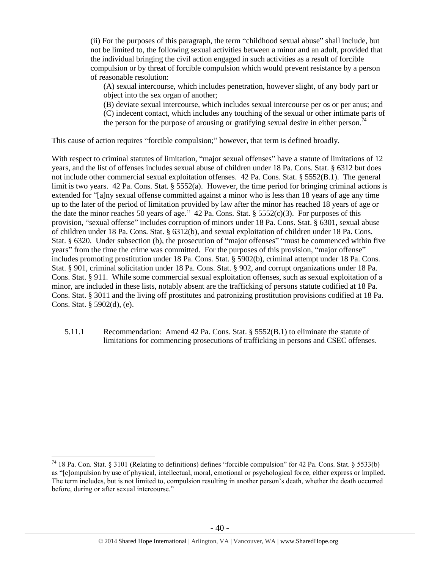(ii) For the purposes of this paragraph, the term "childhood sexual abuse" shall include, but not be limited to, the following sexual activities between a minor and an adult, provided that the individual bringing the civil action engaged in such activities as a result of forcible compulsion or by threat of forcible compulsion which would prevent resistance by a person of reasonable resolution:

(A) sexual intercourse, which includes penetration, however slight, of any body part or object into the sex organ of another;

(B) deviate sexual intercourse, which includes sexual intercourse per os or per anus; and (C) indecent contact, which includes any touching of the sexual or other intimate parts of the person for the purpose of arousing or gratifying sexual desire in either person.<sup>74</sup>

This cause of action requires "forcible compulsion;" however, that term is defined broadly.

With respect to criminal statutes of limitation, "major sexual offenses" have a statute of limitations of 12 years, and the list of offenses includes sexual abuse of children under 18 Pa. Cons. Stat. § 6312 but does not include other commercial sexual exploitation offenses. 42 Pa. Cons. Stat. § 5552(B.1). The general limit is two years. 42 Pa. Cons. Stat. § 5552(a). However, the time period for bringing criminal actions is extended for "[a]ny sexual offense committed against a minor who is less than 18 years of age any time up to the later of the period of limitation provided by law after the minor has reached 18 years of age or the date the minor reaches 50 years of age."  $42$  Pa. Cons. Stat. § 5552(c)(3). For purposes of this provision, "sexual offense" includes corruption of minors under 18 Pa. Cons. Stat. § 6301, sexual abuse of children under 18 Pa. Cons. Stat. § 6312(b), and sexual exploitation of children under 18 Pa. Cons. Stat. § 6320. Under subsection (b), the prosecution of "major offenses" "must be commenced within five years" from the time the crime was committed. For the purposes of this provision, "major offense" includes promoting prostitution under 18 Pa. Cons. Stat. § 5902(b), criminal attempt under 18 Pa. Cons. Stat. § 901, criminal solicitation under 18 Pa. Cons. Stat. § 902, and corrupt organizations under 18 Pa. Cons. Stat. § 911. While some commercial sexual exploitation offenses, such as sexual exploitation of a minor, are included in these lists, notably absent are the trafficking of persons statute codified at 18 Pa. Cons. Stat. § 3011 and the living off prostitutes and patronizing prostitution provisions codified at 18 Pa. Cons. Stat. § 5902(d), (e).

5.11.1 Recommendation: Amend 42 Pa. Cons. Stat. § 5552(B.1) to eliminate the statute of limitations for commencing prosecutions of trafficking in persons and CSEC offenses.

<sup>74</sup> 18 Pa. Con. Stat. § 3101 (Relating to definitions) defines "forcible compulsion" for 42 Pa. Cons. Stat. § 5533(b) as "[c]ompulsion by use of physical, intellectual, moral, emotional or psychological force, either express or implied. The term includes, but is not limited to, compulsion resulting in another person's death, whether the death occurred before, during or after sexual intercourse."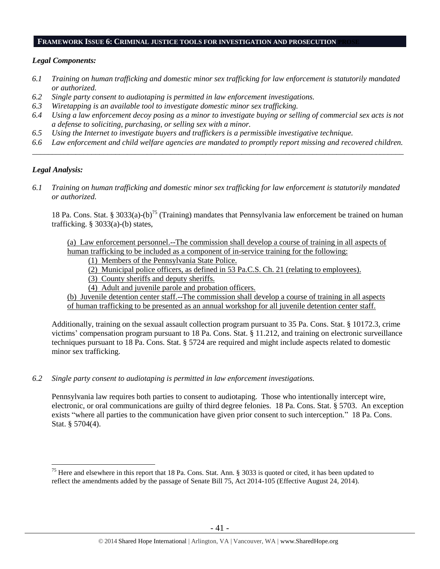#### **FRAMEWORK ISSUE 6: CRIMINAL JUSTICE TOOLS FOR INVESTIGATION AND PROSECUTION PROSE**

## *Legal Components:*

- *6.1 Training on human trafficking and domestic minor sex trafficking for law enforcement is statutorily mandated or authorized.*
- *6.2 Single party consent to audiotaping is permitted in law enforcement investigations.*
- *6.3 Wiretapping is an available tool to investigate domestic minor sex trafficking.*
- *6.4 Using a law enforcement decoy posing as a minor to investigate buying or selling of commercial sex acts is not a defense to soliciting, purchasing, or selling sex with a minor.*
- *6.5 Using the Internet to investigate buyers and traffickers is a permissible investigative technique.*
- *6.6 Law enforcement and child welfare agencies are mandated to promptly report missing and recovered children. \_\_\_\_\_\_\_\_\_\_\_\_\_\_\_\_\_\_\_\_\_\_\_\_\_\_\_\_\_\_\_\_\_\_\_\_\_\_\_\_\_\_\_\_\_\_\_\_\_\_\_\_\_\_\_\_\_\_\_\_\_\_\_\_\_\_\_\_\_\_\_\_\_\_\_\_\_\_\_\_\_\_\_\_\_\_\_\_\_\_\_\_\_\_*

# *Legal Analysis:*

 $\overline{a}$ 

*6.1 Training on human trafficking and domestic minor sex trafficking for law enforcement is statutorily mandated or authorized.*

18 Pa. Cons. Stat. § 3033(a)-(b)<sup>75</sup> (Training) mandates that Pennsylvania law enforcement be trained on human trafficking.  $\S 3033(a)$ -(b) states,

(a) Law enforcement personnel.--The commission shall develop a course of training in all aspects of human trafficking to be included as a component of in-service training for the following:

- (1) Members of the Pennsylvania State Police.
- (2) Municipal police officers, as defined in 53 Pa.C.S. Ch. 21 (relating to employees).
- (3) County sheriffs and deputy sheriffs.
- (4) Adult and juvenile parole and probation officers.

(b) Juvenile detention center staff.--The commission shall develop a course of training in all aspects of human trafficking to be presented as an annual workshop for all juvenile detention center staff.

Additionally, training on the sexual assault collection program pursuant to 35 Pa. Cons. Stat. § 10172.3, crime victims' compensation program pursuant to 18 Pa. Cons. Stat. § 11.212, and training on electronic surveillance techniques pursuant to 18 Pa. Cons. Stat. § 5724 are required and might include aspects related to domestic minor sex trafficking.

*6.2 Single party consent to audiotaping is permitted in law enforcement investigations.*

Pennsylvania law requires both parties to consent to audiotaping. Those who intentionally intercept wire, electronic, or oral communications are guilty of third degree felonies. 18 Pa. Cons. Stat. § 5703. An exception exists "where all parties to the communication have given prior consent to such interception." 18 Pa. Cons. Stat. § 5704(4).

<sup>&</sup>lt;sup>75</sup> Here and elsewhere in this report that 18 Pa. Cons. Stat. Ann. § 3033 is quoted or cited, it has been updated to reflect the amendments added by the passage of Senate Bill 75, Act 2014-105 (Effective August 24, 2014).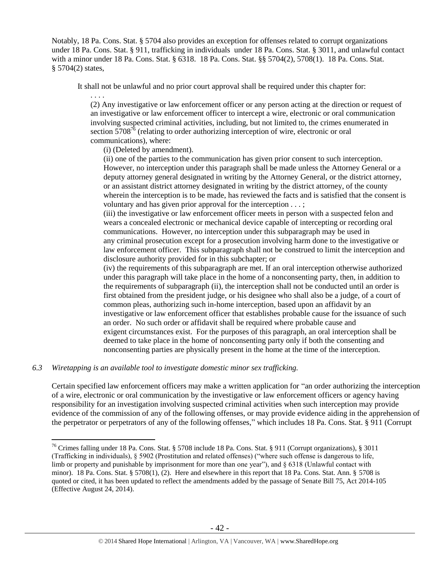Notably, 18 Pa. Cons. Stat. § 5704 also provides an exception for offenses related to corrupt organizations under 18 Pa. Cons. Stat. § 911, trafficking in individuals under 18 Pa. Cons. Stat. § 3011, and unlawful contact with a minor under 18 Pa. Cons. Stat. § 6318. 18 Pa. Cons. Stat. §§ 5704(2), 5708(1). 18 Pa. Cons. Stat. § 5704(2) states,

It shall not be unlawful and no prior court approval shall be required under this chapter for:

(2) Any investigative or law enforcement officer or any person acting at the direction or request of an investigative or law enforcement officer to intercept a wire, electronic or oral communication involving suspected criminal activities, including, but not limited to, the crimes enumerated in section  $5708^{76}$  (relating to order authorizing interception of wire, electronic or oral communications), where:

(i) (Deleted by amendment).

. . . .

 $\overline{a}$ 

(ii) one of the parties to the communication has given prior consent to such interception. However, no interception under this paragraph shall be made unless the Attorney General or a deputy attorney general designated in writing by the Attorney General, or the district attorney, or an assistant district attorney designated in writing by the district attorney, of the county wherein the interception is to be made, has reviewed the facts and is satisfied that the consent is voluntary and has given prior approval for the interception . . . ;

(iii) the investigative or law enforcement officer meets in person with a suspected felon and wears a concealed electronic or mechanical device capable of intercepting or recording oral communications. However, no interception under this subparagraph may be used in any criminal prosecution except for a prosecution involving harm done to the investigative or law enforcement officer. This subparagraph shall not be construed to limit the interception and disclosure authority provided for in this subchapter; or

(iv) the requirements of this subparagraph are met. If an oral interception otherwise authorized under this paragraph will take place in the home of a nonconsenting party, then, in addition to the requirements of subparagraph (ii), the interception shall not be conducted until an order is first obtained from the president judge, or his designee who shall also be a judge, of a court of common pleas, authorizing such in-home interception, based upon an affidavit by an investigative or law enforcement officer that establishes probable cause for the issuance of such an order. No such order or affidavit shall be required where probable cause and exigent circumstances exist. For the purposes of this paragraph, an oral interception shall be deemed to take place in the home of nonconsenting party only if both the consenting and nonconsenting parties are physically present in the home at the time of the interception.

# *6.3 Wiretapping is an available tool to investigate domestic minor sex trafficking.*

Certain specified law enforcement officers may make a written application for "an order authorizing the interception of a wire, electronic or oral communication by the investigative or law enforcement officers or agency having responsibility for an investigation involving suspected criminal activities when such interception may provide evidence of the commission of any of the following offenses, or may provide evidence aiding in the apprehension of the perpetrator or perpetrators of any of the following offenses," which includes 18 Pa. Cons. Stat. § 911 (Corrupt

<sup>76</sup> Crimes falling under 18 Pa. Cons. Stat. § 5708 include 18 Pa. Cons. Stat. § 911 (Corrupt organizations), § 3011 (Trafficking in individuals), § 5902 (Prostitution and related offenses) ("where such offense is dangerous to life, limb or property and punishable by imprisonment for more than one year"), and  $\S 6318$  (Unlawful contact with minor). 18 Pa. Cons. Stat. § 5708(1), (2). Here and elsewhere in this report that 18 Pa. Cons. Stat. Ann. § 5708 is quoted or cited, it has been updated to reflect the amendments added by the passage of Senate Bill 75, Act 2014-105 (Effective August 24, 2014).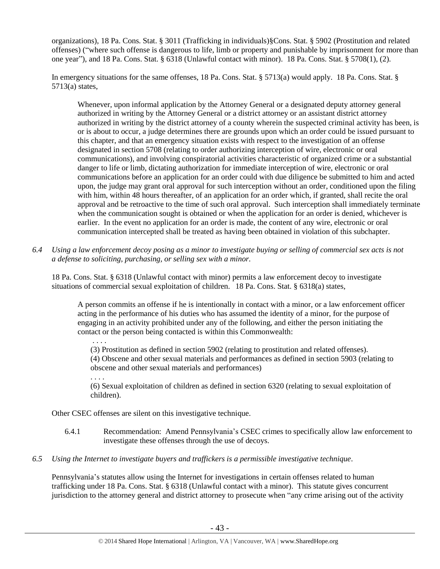organizations), 18 Pa. Cons. Stat. § 3011 (Trafficking in individuals)§Cons. Stat. § 5902 (Prostitution and related offenses) ("where such offense is dangerous to life, limb or property and punishable by imprisonment for more than one year"), and 18 Pa. Cons. Stat. § 6318 (Unlawful contact with minor). 18 Pa. Cons. Stat. § 5708(1), (2).

In emergency situations for the same offenses, 18 Pa. Cons. Stat. § 5713(a) would apply. 18 Pa. Cons. Stat. § 5713(a) states,

Whenever, upon informal application by the Attorney General or a designated deputy attorney general authorized in writing by the Attorney General or a district attorney or an assistant district attorney authorized in writing by the district attorney of a county wherein the suspected criminal activity has been, is or is about to occur, a judge determines there are grounds upon which an order could be issued pursuant to this chapter, and that an emergency situation exists with respect to the investigation of an offense designated in section 5708 (relating to order authorizing interception of wire, electronic or oral communications), and involving conspiratorial activities characteristic of organized crime or a substantial danger to life or limb, dictating authorization for immediate interception of wire, electronic or oral communications before an application for an order could with due diligence be submitted to him and acted upon, the judge may grant oral approval for such interception without an order, conditioned upon the filing with him, within 48 hours thereafter, of an application for an order which, if granted, shall recite the oral approval and be retroactive to the time of such oral approval. Such interception shall immediately terminate when the communication sought is obtained or when the application for an order is denied, whichever is earlier. In the event no application for an order is made, the content of any wire, electronic or oral communication intercepted shall be treated as having been obtained in violation of this subchapter.

*6.4 Using a law enforcement decoy posing as a minor to investigate buying or selling of commercial sex acts is not a defense to soliciting, purchasing, or selling sex with a minor.*

18 Pa. Cons. Stat. § 6318 (Unlawful contact with minor) permits a law enforcement decoy to investigate situations of commercial sexual exploitation of children. 18 Pa. Cons. Stat. § 6318(a) states,

A person commits an offense if he is intentionally in contact with a minor, or a law enforcement officer acting in the performance of his duties who has assumed the identity of a minor, for the purpose of engaging in an activity prohibited under any of the following, and either the person initiating the contact or the person being contacted is within this Commonwealth:

. . . . (3) Prostitution as defined in section 5902 (relating to prostitution and related offenses). (4) Obscene and other sexual materials and performances as defined in section 5903 (relating to obscene and other sexual materials and performances)

. . . . (6) Sexual exploitation of children as defined in section 6320 (relating to sexual exploitation of children).

Other CSEC offenses are silent on this investigative technique.

- 6.4.1 Recommendation: Amend Pennsylvania's CSEC crimes to specifically allow law enforcement to investigate these offenses through the use of decoys.
- *6.5 Using the Internet to investigate buyers and traffickers is a permissible investigative technique.*

Pennsylvania's statutes allow using the Internet for investigations in certain offenses related to human trafficking under 18 Pa. Cons. Stat. § 6318 (Unlawful contact with a minor). This statute gives concurrent jurisdiction to the attorney general and district attorney to prosecute when "any crime arising out of the activity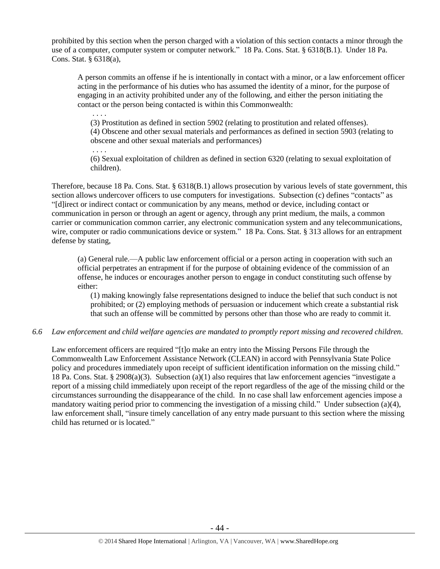prohibited by this section when the person charged with a violation of this section contacts a minor through the use of a computer, computer system or computer network." 18 Pa. Cons. Stat. § 6318(B.1). Under 18 Pa. Cons. Stat. § 6318(a),

A person commits an offense if he is intentionally in contact with a minor, or a law enforcement officer acting in the performance of his duties who has assumed the identity of a minor, for the purpose of engaging in an activity prohibited under any of the following, and either the person initiating the contact or the person being contacted is within this Commonwealth:

. . . . (3) Prostitution as defined in section 5902 (relating to prostitution and related offenses). (4) Obscene and other sexual materials and performances as defined in section 5903 (relating to obscene and other sexual materials and performances)

. . . . (6) Sexual exploitation of children as defined in section 6320 (relating to sexual exploitation of children).

Therefore, because 18 Pa. Cons. Stat. § 6318(B.1) allows prosecution by various levels of state government, this section allows undercover officers to use computers for investigations. Subsection (c) defines "contacts" as "[d]irect or indirect contact or communication by any means, method or device, including contact or communication in person or through an agent or agency, through any print medium, the mails, a common carrier or communication common carrier, any electronic communication system and any telecommunications, wire, computer or radio communications device or system." 18 Pa. Cons. Stat. § 313 allows for an entrapment defense by stating,

(a) General rule.—A public law enforcement official or a person acting in cooperation with such an official perpetrates an entrapment if for the purpose of obtaining evidence of the commission of an offense, he induces or encourages another person to engage in conduct constituting such offense by either:

(1) making knowingly false representations designed to induce the belief that such conduct is not prohibited; or (2) employing methods of persuasion or inducement which create a substantial risk that such an offense will be committed by persons other than those who are ready to commit it.

## *6.6 Law enforcement and child welfare agencies are mandated to promptly report missing and recovered children.*

Law enforcement officers are required "[t]o make an entry into the Missing Persons File through the Commonwealth Law Enforcement Assistance Network (CLEAN) in accord with Pennsylvania State Police policy and procedures immediately upon receipt of sufficient identification information on the missing child." 18 Pa. Cons. Stat. § 2908(a)(3). Subsection (a)(1) also requires that law enforcement agencies "investigate a report of a missing child immediately upon receipt of the report regardless of the age of the missing child or the circumstances surrounding the disappearance of the child. In no case shall law enforcement agencies impose a mandatory waiting period prior to commencing the investigation of a missing child." Under subsection (a)(4), law enforcement shall, "insure timely cancellation of any entry made pursuant to this section where the missing child has returned or is located."